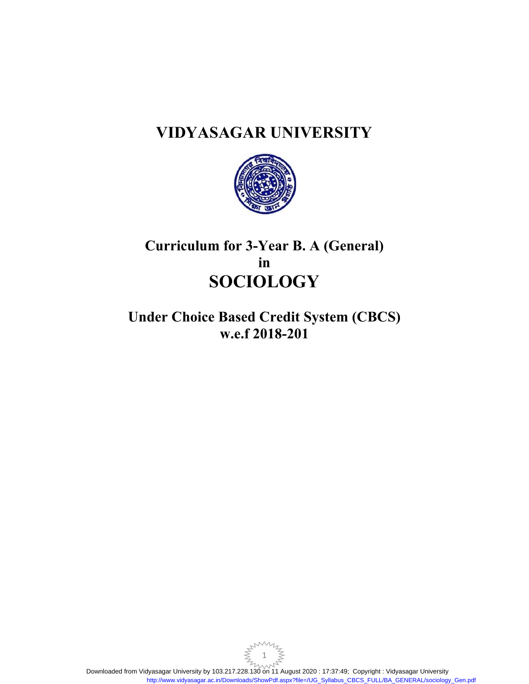# **VIDYASAGAR UNIVERSITY**



# **Curriculum for 3-Year B. A (General) in SOCIOLOGY**

**Under Choice Based Credit System (CBCS) w.e.f 2018-201**

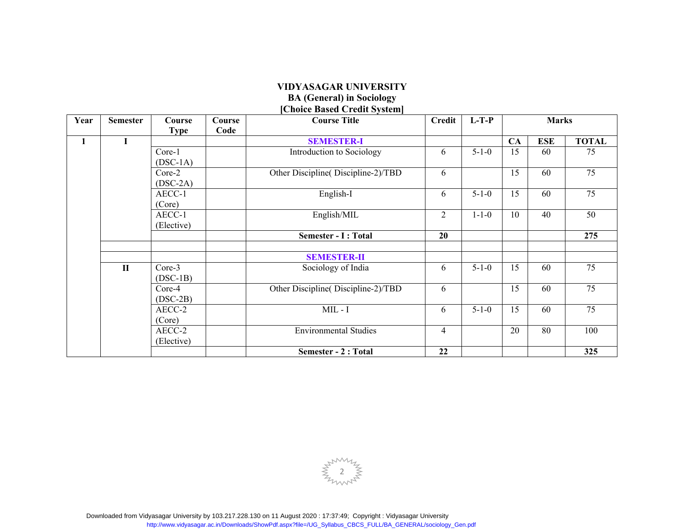#### **VIDYASAGAR UNIVERSITY BA (General) in Sociology [Choice Based Credit System]**

| Year         | <b>Semester</b> | Course<br><b>Type</b> | Course<br>Code | <b>CHUICE DASCU CTEUIL SYSTEM!</b><br><b>Course Title</b> | <b>Credit</b>  | $L-T-P$     | <b>Marks</b> |            |              |
|--------------|-----------------|-----------------------|----------------|-----------------------------------------------------------|----------------|-------------|--------------|------------|--------------|
| $\mathbf{1}$ | I               |                       |                | <b>SEMESTER-I</b>                                         |                |             | CA           | <b>ESE</b> | <b>TOTAL</b> |
|              |                 | Core-1<br>$(DSC-1A)$  |                | Introduction to Sociology                                 | 6              | $5 - 1 - 0$ | 15           | 60         | 75           |
|              |                 | Core-2<br>$(DSC-2A)$  |                | Other Discipline (Discipline-2)/TBD                       | 6              |             | 15           | 60         | 75           |
|              |                 | AECC-1<br>(Core)      |                | English-I                                                 | 6              | $5 - 1 - 0$ | 15           | 60         | 75           |
|              |                 | AECC-1<br>(Elective)  |                | English/MIL                                               | $\overline{c}$ | $1 - 1 - 0$ | 10           | 40         | 50           |
|              |                 |                       |                | Semester - I : Total                                      | 20             |             |              |            | 275          |
|              |                 |                       |                | <b>SEMESTER-II</b>                                        |                |             |              |            |              |
|              | $\mathbf{I}$    | Core-3<br>$(DSC-1B)$  |                | Sociology of India                                        | 6              | $5 - 1 - 0$ | 15           | 60         | 75           |
|              |                 | Core-4<br>$(DSC-2B)$  |                | Other Discipline (Discipline-2)/TBD                       | 6              |             | 15           | 60         | 75           |
|              |                 | AECC-2<br>(Core)      |                | $MIL - I$                                                 | 6              | $5 - 1 - 0$ | 15           | 60         | 75           |
|              |                 | AECC-2<br>(Elective)  |                | <b>Environmental Studies</b>                              | 4              |             | 20           | 80         | 100          |
|              |                 |                       |                | Semester - 2 : Total                                      | 22             |             |              |            | 325          |

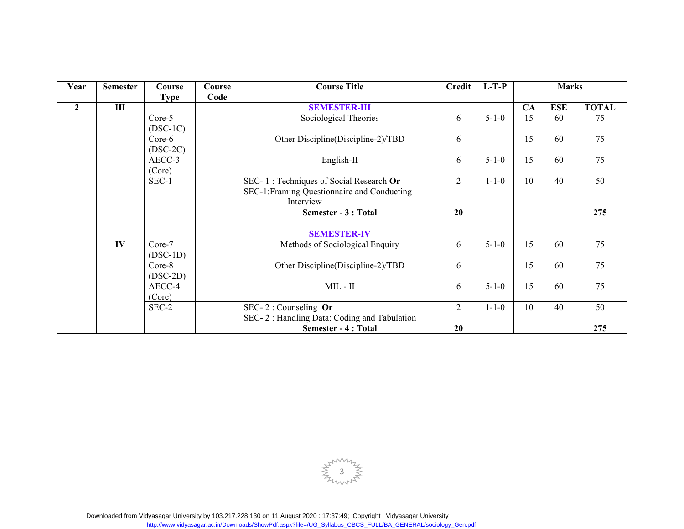| Year           | <b>Semester</b> | Course      | Course | <b>Course Title</b>                         | <b>Credit</b>  | $L-T-P$     | <b>Marks</b> |            |              |
|----------------|-----------------|-------------|--------|---------------------------------------------|----------------|-------------|--------------|------------|--------------|
|                |                 | <b>Type</b> | Code   |                                             |                |             |              |            |              |
| $\overline{2}$ | $\mathbf{III}$  |             |        | <b>SEMESTER-III</b>                         |                |             | <b>CA</b>    | <b>ESE</b> | <b>TOTAL</b> |
|                |                 | Core-5      |        | Sociological Theories                       | 6              | $5 - 1 - 0$ | 15           | 60         | 75           |
|                |                 | $(DSC-1C)$  |        |                                             |                |             |              |            |              |
|                |                 | Core-6      |        | Other Discipline(Discipline-2)/TBD          | 6              |             | 15           | 60         | 75           |
|                |                 | $(DSC-2C)$  |        |                                             |                |             |              |            |              |
|                |                 | AECC-3      |        | English-II                                  | 6              | $5 - 1 - 0$ | 15           | 60         | 75           |
|                |                 | (Core)      |        |                                             |                |             |              |            |              |
|                |                 | $SEC-1$     |        | SEC-1: Techniques of Social Research Or     | $\overline{2}$ | $1 - 1 - 0$ | 10           | 40         | 50           |
|                |                 |             |        | SEC-1:Framing Questionnaire and Conducting  |                |             |              |            |              |
|                |                 |             |        | Interview                                   |                |             |              |            |              |
|                |                 |             |        | Semester - 3 : Total                        | 20             |             |              |            | 275          |
|                |                 |             |        |                                             |                |             |              |            |              |
|                |                 |             |        | <b>SEMESTER-IV</b>                          |                |             |              |            |              |
|                | IV              | Core-7      |        | Methods of Sociological Enquiry             | 6              | $5 - 1 - 0$ | 15           | 60         | 75           |
|                |                 | $(DSC-1D)$  |        |                                             |                |             |              |            |              |
|                |                 | $Core-8$    |        | Other Discipline(Discipline-2)/TBD          | 6              |             | 15           | 60         | 75           |
|                |                 | $(DSC-2D)$  |        |                                             |                |             |              |            |              |
|                |                 | AECC-4      |        | $MIL - II$                                  | 6              | $5 - 1 - 0$ | 15           | 60         | 75           |
|                |                 | (Core)      |        |                                             |                |             |              |            |              |
|                |                 | SEC-2       |        | SEC-2: Counseling $Or$                      | $\overline{2}$ | $1 - 1 - 0$ | 10           | 40         | 50           |
|                |                 |             |        | SEC-2: Handling Data: Coding and Tabulation |                |             |              |            |              |
|                |                 |             |        | <b>Semester - 4: Total</b>                  | 20             |             |              |            | 275          |

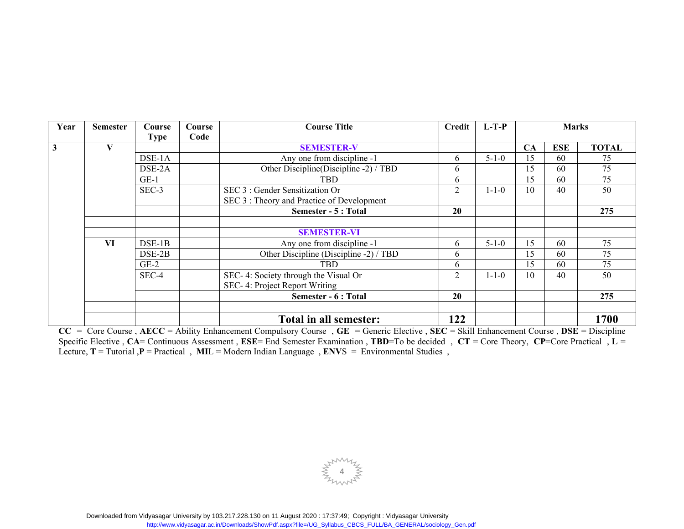| Year                    | <b>Semester</b> | Course   | Course | <b>Course Title</b>                        | Credit | $L-T-P$     | <b>Marks</b> |            |              |
|-------------------------|-----------------|----------|--------|--------------------------------------------|--------|-------------|--------------|------------|--------------|
|                         |                 | Type     | Code   |                                            |        |             |              |            |              |
| $\overline{\mathbf{3}}$ | V               |          |        | <b>SEMESTER-V</b>                          |        |             | CA           | <b>ESE</b> | <b>TOTAL</b> |
|                         |                 | DSE-1A   |        | Any one from discipline -1                 | 6      | $5 - 1 - 0$ | 15           | 60         | 75           |
|                         |                 | DSE-2A   |        | Other Discipline (Discipline -2) / TBD     | 6      |             | 15           | 60         | 75           |
|                         |                 | $GE-1$   |        | <b>TBD</b>                                 | 6      |             | 15           | 60         | 75           |
|                         |                 | SEC-3    |        | SEC 3 : Gender Sensitization Or            | 2      | $1 - 1 - 0$ | 10           | 40         | 50           |
|                         |                 |          |        | SEC 3 : Theory and Practice of Development |        |             |              |            |              |
|                         |                 |          |        | Semester - 5 : Total                       | 20     |             |              |            | 275          |
|                         |                 |          |        |                                            |        |             |              |            |              |
|                         |                 |          |        | <b>SEMESTER-VI</b>                         |        |             |              |            |              |
|                         | VI              | $DSE-1B$ |        | Any one from discipline -1                 | 6      | $5 - 1 - 0$ | 15           | 60         | 75           |
|                         |                 | DSE-2B   |        | Other Discipline (Discipline -2) / TBD     | 6      |             | 15           | 60         | 75           |
|                         |                 | $GE-2$   |        | <b>TBD</b>                                 | 6      |             | 15           | 60         | 75           |
|                         |                 | SEC-4    |        | SEC- 4: Society through the Visual Or      | 2      | $1 - 1 - 0$ | 10           | 40         | 50           |
|                         |                 |          |        | SEC- 4: Project Report Writing             |        |             |              |            |              |
|                         |                 |          |        | Semester - 6 : Total                       | 20     |             |              |            | 275          |
|                         |                 |          |        |                                            |        |             |              |            |              |
|                         |                 |          |        | Total in all semester:                     | 122    |             |              |            | 1700         |

**CC** = Core Course , **AECC** = Ability Enhancement Compulsory Course , **GE** = Generic Elective , **SEC** = Skill Enhancement Course , **DSE** = Discipline Specific Elective , **CA**= Continuous Assessment , **ESE**= End Semester Examination , **TBD**=To be decided , **CT** = Core Theory, **CP**=Core Practical , **L** <sup>=</sup> Lecture, **T** = Tutorial ,**P** = Practical , **MI**L = Modern Indian Language , **ENV**S = Environmental Studies ,

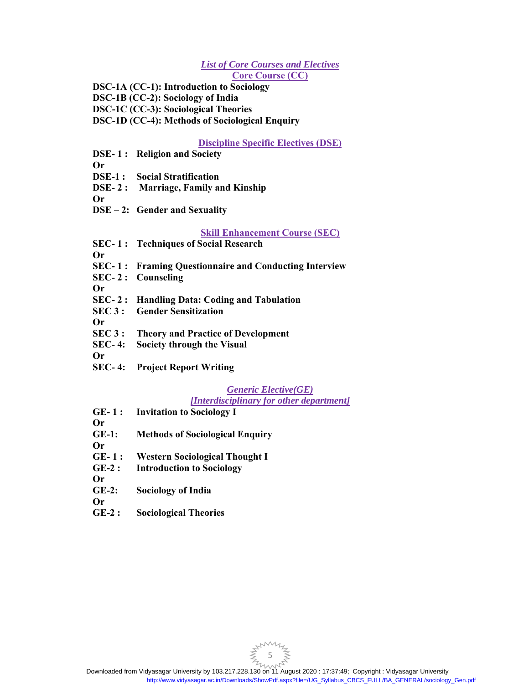# *List of Core Courses and Electives*  **Core Course (CC)**

**DSC-1A (CC-1): Introduction to Sociology DSC-1B (CC-2): Sociology of India DSC-1C (CC-3): Sociological Theories DSC-1D (CC-4): Methods of Sociological Enquiry**

**Discipline Specific Electives (DSE)** 

- **DSE- 1 : Religion and Society**
- **Or**
- **DSE-1 : Social Stratification**
- **DSE- 2 : Marriage, Family and Kinship**

**Or** 

**DSE – 2: Gender and Sexuality** 

# **Skill Enhancement Course (SEC)**

**SEC- 1 : Techniques of Social Research** 

**Or** 

- **SEC- 1 : Framing Questionnaire and Conducting Interview**
- **SEC- 2 : Counseling**
- **Or**
- **SEC- 2 : Handling Data: Coding and Tabulation**
- **SEC 3 : Gender Sensitization**
- **Or**
- **SEC 3 : Theory and Practice of Development**
- **SEC- 4: Society through the Visual**

**Or** 

**SEC- 4: Project Report Writing** 

# *Generic Elective(GE)*

# *[Interdisciplinary for other department]*

- **GE- 1 : Invitation to Sociology I**
- **Or GE-1: Methods of Sociological Enquiry**
- **Or**
- **GE- 1 : Western Sociological Thought I**
- **GE-2 : Introduction to Sociology**
- **Or**
- **GE-2: Sociology of India**
- **Or**
- **GE-2 : Sociological Theories**

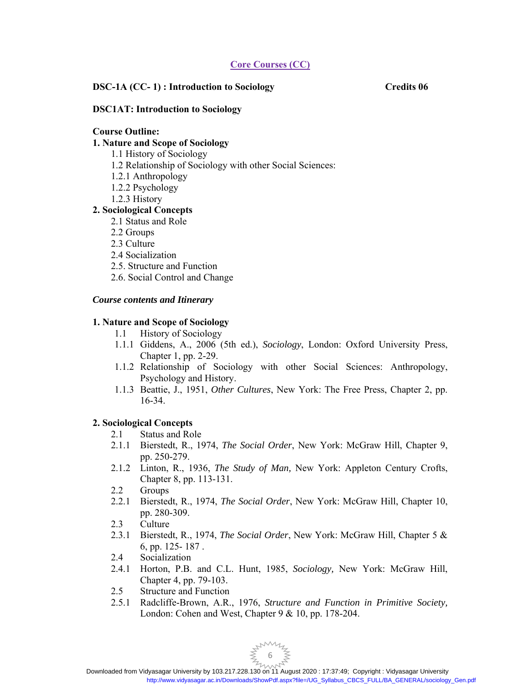# **Core Courses (CC)**

# **DSC-1A (CC- 1) : Introduction to Sociology Credits 06**

# **DSC1AT: Introduction to Sociology**

#### **Course Outline:**

# **1. Nature and Scope of Sociology**

- 1.1 History of Sociology
- 1.2 Relationship of Sociology with other Social Sciences:
- 1.2.1 Anthropology
- 1.2.2 Psychology
- 1.2.3 History

# **2. Sociological Concepts**

- 2.1 Status and Role
- 2.2 Groups
- 2.3 Culture
- 2.4 Socialization
- 2.5. Structure and Function
- 2.6. Social Control and Change

# *Course contents and Itinerary*

# **1. Nature and Scope of Sociology**

- 1.1 History of Sociology
- 1.1.1 Giddens, A., 2006 (5th ed.), *Sociology*, London: Oxford University Press, Chapter 1, pp. 2-29.
- 1.1.2 Relationship of Sociology with other Social Sciences: Anthropology, Psychology and History.
- 1.1.3 Beattie, J., 1951, *Other Cultures*, New York: The Free Press, Chapter 2, pp. 16-34.

# **2. Sociological Concepts**

- 2.1 Status and Role
- 2.1.1 Bierstedt, R., 1974, *The Social Order*, New York: McGraw Hill, Chapter 9, pp. 250-279.
- 2.1.2 Linton, R., 1936, *The Study of Man,* New York: Appleton Century Crofts, Chapter 8, pp. 113-131.
- 2.2 Groups
- 2.2.1 Bierstedt, R., 1974, *The Social Order*, New York: McGraw Hill, Chapter 10, pp. 280-309.
- 2.3 Culture
- 2.3.1 Bierstedt, R., 1974, *The Social Order*, New York: McGraw Hill, Chapter 5 & 6, pp. 125- 187 .
- 2.4 Socialization
- 2.4.1 Horton, P.B. and C.L. Hunt, 1985, *Sociology,* New York: McGraw Hill, Chapter 4, pp. 79-103.
- 2.5 Structure and Function
- 2.5.1 Radcliffe-Brown, A.R., 1976, *Structure and Function in Primitive Society,*  London: Cohen and West, Chapter 9 & 10, pp. 178-204.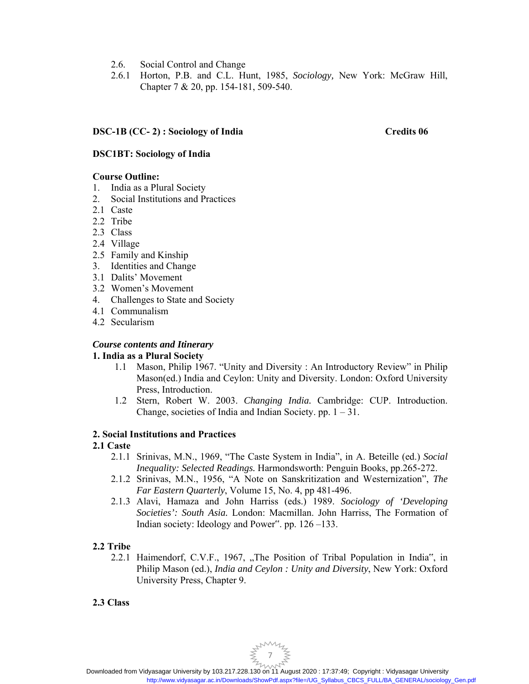- 2.6. Social Control and Change
- 2.6.1 Horton, P.B. and C.L. Hunt, 1985, *Sociology,* New York: McGraw Hill, Chapter 7 & 20, pp. 154-181, 509-540.

# **DSC-1B (CC- 2) : Sociology of India Credits 06**

# **DSC1BT: Sociology of India**

# **Course Outline:**

- 1. India as a Plural Society
- 2. Social Institutions and Practices
- 2.1 Caste
- 2.2 Tribe
- 2.3 Class
- 2.4 Village
- 2.5 Family and Kinship
- 3. Identities and Change
- 3.1 Dalits' Movement
- 3.2 Women's Movement
- 4. Challenges to State and Society
- 4.1 Communalism
- 4.2 Secularism

# *Course contents and Itinerary*

# **1. India as a Plural Society**

- 1.1 Mason, Philip 1967. "Unity and Diversity : An Introductory Review" in Philip Mason(ed.) India and Ceylon: Unity and Diversity. London: Oxford University Press, Introduction.
- 1.2 Stern, Robert W. 2003. *Changing India.* Cambridge: CUP. Introduction. Change, societies of India and Indian Society. pp.  $1 - 31$ .

# **2. Social Institutions and Practices**

# **2.1 Caste**

- 2.1.1 Srinivas, M.N., 1969, "The Caste System in India", in A. Beteille (ed.) *Social Inequality: Selected Readings.* Harmondsworth: Penguin Books, pp.265-272.
- 2.1.2 Srinivas, M.N., 1956, "A Note on Sanskritization and Westernization", *The Far Eastern Quarterly*, Volume 15, No. 4, pp 481-496.
- 2.1.3 Alavi, Hamaza and John Harriss (eds.) 1989. *Sociology of 'Developing Societies': South Asia.* London: Macmillan. John Harriss, The Formation of Indian society: Ideology and Power". pp. 126 –133.

# **2.2 Tribe**

2.2.1 Haimendorf, C.V.F., 1967, "The Position of Tribal Population in India", in Philip Mason (ed.), *India and Ceylon : Unity and Diversity*, New York: Oxford University Press, Chapter 9.

# **2.3 Class**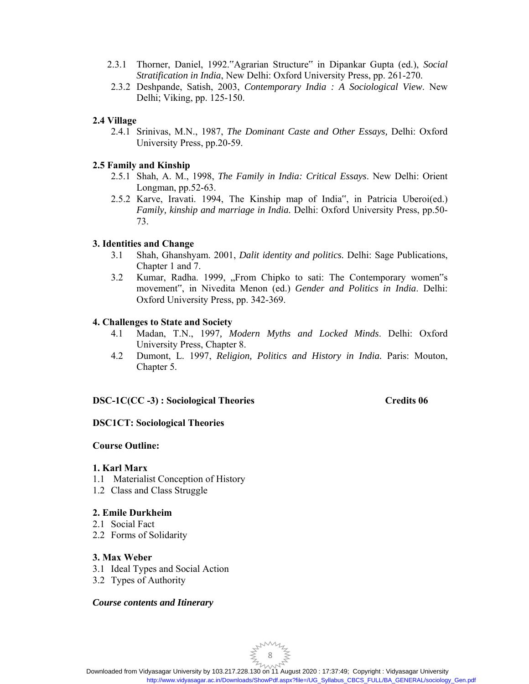- 2.3.1 Thorner, Daniel, 1992."Agrarian Structure" in Dipankar Gupta (ed.), *Social Stratification in India*, New Delhi: Oxford University Press, pp. 261-270.
- 2.3.2 Deshpande, Satish, 2003, *Contemporary India : A Sociological View*. New Delhi; Viking, pp. 125-150.

# **2.4 Village**

2.4.1 Srinivas, M.N., 1987, *The Dominant Caste and Other Essays,* Delhi: Oxford University Press, pp.20-59.

#### **2.5 Family and Kinship**

- 2.5.1 Shah, A. M., 1998, *The Family in India: Critical Essays*. New Delhi: Orient Longman, pp.52-63.
- 2.5.2 Karve, Iravati. 1994, The Kinship map of India", in Patricia Uberoi(ed.) *Family, kinship and marriage in India.* Delhi: Oxford University Press, pp.50- 73.

#### **3. Identities and Change**

- 3.1 Shah, Ghanshyam. 2001, *Dalit identity and politics.* Delhi: Sage Publications, Chapter 1 and 7.
- 3.2 Kumar, Radha. 1999, "From Chipko to sati: The Contemporary women"s movement", in Nivedita Menon (ed.) *Gender and Politics in India*. Delhi: Oxford University Press, pp. 342-369.

#### **4. Challenges to State and Society**

- 4.1 Madan, T.N., 1997*, Modern Myths and Locked Minds*. Delhi: Oxford University Press, Chapter 8.
- 4.2 Dumont, L. 1997, *Religion, Politics and History in India.* Paris: Mouton, Chapter 5.

# **DSC-1C(CC -3) : Sociological Theories Credits 06**

# **DSC1CT: Sociological Theories**

#### **Course Outline:**

#### **1. Karl Marx**

- 1.1 Materialist Conception of History
- 1.2 Class and Class Struggle

#### **2. Emile Durkheim**

- 2.1 Social Fact
- 2.2 Forms of Solidarity

#### **3. Max Weber**

- 3.1 Ideal Types and Social Action
- 3.2 Types of Authority

#### *Course contents and Itinerary*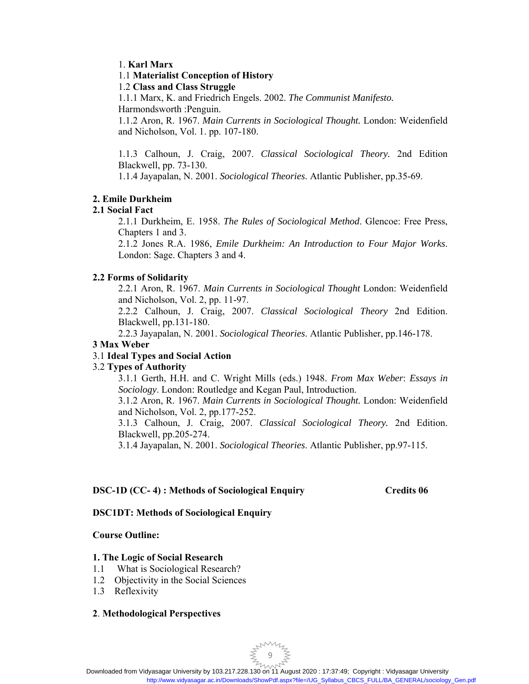# 1. **Karl Marx**

# 1.1 **Materialist Conception of History**

# 1.2 **Class and Class Struggle**

1.1.1 Marx, K. and Friedrich Engels. 2002. *The Communist Manifesto.* 

Harmondsworth :Penguin.

1.1.2 Aron, R. 1967. *Main Currents in Sociological Thought.* London: Weidenfield and Nicholson, Vol. 1. pp. 107-180.

1.1.3 Calhoun, J. Craig, 2007. *Classical Sociological Theory.* 2nd Edition Blackwell, pp. 73-130.

1.1.4 Jayapalan, N. 2001. *Sociological Theories*. Atlantic Publisher, pp.35-69.

# **2. Emile Durkheim**

# **2.1 Social Fact**

2.1.1 Durkheim, E. 1958. *The Rules of Sociological Method*. Glencoe: Free Press, Chapters 1 and 3.

2.1.2 Jones R.A. 1986, *Emile Durkheim: An Introduction to Four Major Works*. London: Sage. Chapters 3 and 4.

# **2.2 Forms of Solidarity**

2.2.1 Aron, R. 1967. *Main Currents in Sociological Thought* London: Weidenfield and Nicholson, Vol. 2, pp. 11-97.

2.2.2 Calhoun, J. Craig, 2007. *Classical Sociological Theory* 2nd Edition. Blackwell, pp.131-180.

2.2.3 Jayapalan, N. 2001. *Sociological Theories*. Atlantic Publisher, pp.146-178.

# **3 Max Weber**

# 3.1 **Ideal Types and Social Action**

# 3.2 **Types of Authority**

3.1.1 Gerth, H.H. and C. Wright Mills (eds.) 1948. *From Max Weber*: *Essays in Sociology*. London: Routledge and Kegan Paul, Introduction.

3.1.2 Aron, R. 1967. *Main Currents in Sociological Thought.* London: Weidenfield and Nicholson, Vol. 2, pp.177-252.

3.1.3 Calhoun, J. Craig, 2007. *Classical Sociological Theory.* 2nd Edition. Blackwell, pp.205-274.

3.1.4 Jayapalan, N. 2001. *Sociological Theories*. Atlantic Publisher, pp.97-115.

# **DSC-1D (CC- 4) : Methods of Sociological Enquiry Credits 06**

# **DSC1DT: Methods of Sociological Enquiry**

# **Course Outline:**

# **1. The Logic of Social Research**

- 1.1 What is Sociological Research?
- 1.2 Objectivity in the Social Sciences
- 1.3 Reflexivity

# **2**. **Methodological Perspectives**

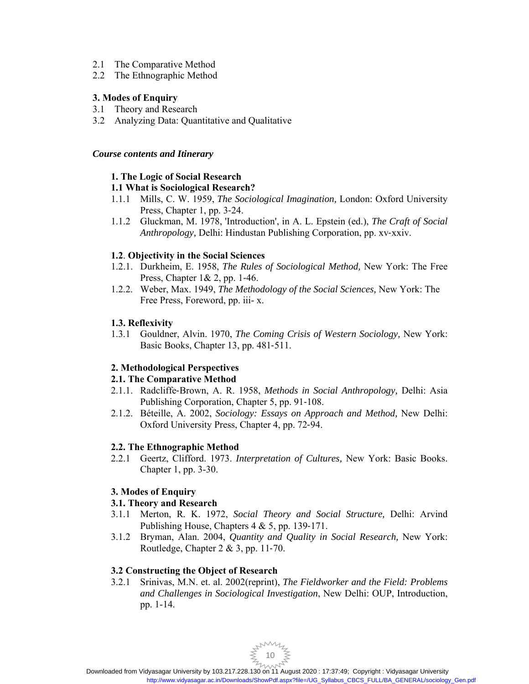- 2.1 The Comparative Method
- 2.2 The Ethnographic Method

# **3. Modes of Enquiry**

- 3.1 Theory and Research
- 3.2 Analyzing Data: Quantitative and Qualitative

# *Course contents and Itinerary*

# **1. The Logic of Social Research**

# **1.1 What is Sociological Research?**

- 1.1.1 Mills, C. W. 1959, *The Sociological Imagination,* London: Oxford University Press, Chapter 1, pp. 3‐24.
- 1.1.2 Gluckman, M. 1978, 'Introduction', in A. L. Epstein (ed.), *The Craft of Social Anthropology,* Delhi: Hindustan Publishing Corporation, pp. xv‐xxiv.

# **1.2**. **Objectivity in the Social Sciences**

- 1.2.1. Durkheim, E. 1958, *The Rules of Sociological Method,* New York: The Free Press, Chapter 1& 2, pp. 1‐46.
- 1.2.2. Weber, Max. 1949, *The Methodology of the Social Sciences,* New York: The Free Press, Foreword, pp. iii- x.

# **1.3. Reflexivity**

1.3.1 Gouldner, Alvin. 1970, *The Coming Crisis of Western Sociology,* New York: Basic Books, Chapter 13, pp. 481‐511.

# **2. Methodological Perspectives**

# **2.1. The Comparative Method**

- 2.1.1. Radcliffe‐Brown, A. R. 1958, *Methods in Social Anthropology,* Delhi: Asia Publishing Corporation, Chapter 5, pp. 91‐108.
- 2.1.2. Béteille, A. 2002, *Sociology: Essays on Approach and Method,* New Delhi: Oxford University Press, Chapter 4, pp. 72‐94.

# **2.2. The Ethnographic Method**

2.2.1 Geertz, Clifford. 1973. *Interpretation of Cultures,* New York: Basic Books. Chapter 1, pp. 3-30.

# **3. Modes of Enquiry**

# **3.1. Theory and Research**

- 3.1.1 Merton, R. K. 1972, *Social Theory and Social Structure,* Delhi: Arvind Publishing House, Chapters 4 & 5, pp. 139‐171.
- 3.1.2 Bryman, Alan. 2004, *Quantity and Quality in Social Research,* New York: Routledge, Chapter 2 & 3, pp. 11‐70.

# **3.2 Constructing the Object of Research**

3.2.1 Srinivas, M.N. et. al. 2002(reprint), *The Fieldworker and the Field: Problems and Challenges in Sociological Investigation*, New Delhi: OUP, Introduction, pp. 1-14.

 $\not\leq \sum_{10}^{100}$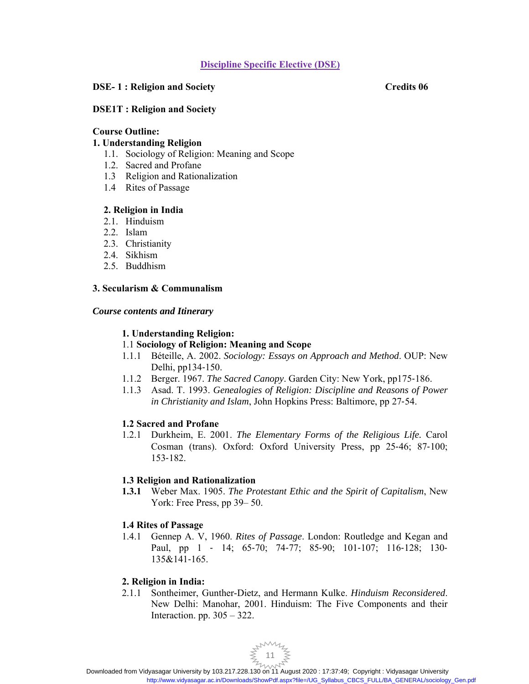# **Discipline Specific Elective (DSE)**

# **DSE-1: Religion and Society** Credits 06

# **DSE1T : Religion and Society**

#### **Course Outline:**

# **1. Understanding Religion**

- 1.1. Sociology of Religion: Meaning and Scope
- 1.2. Sacred and Profane
- 1.3 Religion and Rationalization
- 1.4 Rites of Passage

# **2. Religion in India**

- 2.1. Hinduism
- 2.2. Islam
- 2.3. Christianity
- 2.4. Sikhism
- 2.5. Buddhism

# **3. Secularism & Communalism**

# *Course contents and Itinerary*

# **1. Understanding Religion:**

# 1.1 **Sociology of Religion: Meaning and Scope**

- 1.1.1 Béteille, A. 2002. *Sociology: Essays on Approach and Method*. OUP: New Delhi, pp134‐150.
- 1.1.2 Berger. 1967. *The Sacred Canopy*. Garden City: New York, pp175‐186.
- 1.1.3 Asad. T. 1993. *Genealogies of Religion: Discipline and Reasons of Power in Christianity and Islam*, John Hopkins Press: Baltimore, pp 27‐54.

# **1.2 Sacred and Profane**

1.2.1 Durkheim, E. 2001. *The Elementary Forms of the Religious Life.* Carol Cosman (trans). Oxford: Oxford University Press, pp 25‐46; 87‐100; 153‐182.

# **1.3 Religion and Rationalization**

**1.3.1** Weber Max. 1905. *The Protestant Ethic and the Spirit of Capitalism*, New York: Free Press, pp 39– 50.

# **1.4 Rites of Passage**

1.4.1 Gennep A. V, 1960. *Rites of Passage*. London: Routledge and Kegan and Paul, pp 1 ‐ 14; 65‐70; 74‐77; 85‐90; 101‐107; 116‐128; 130‐ 135&141‐165.

# **2. Religion in India:**

2.1.1 Sontheimer, Gunther-Dietz, and Hermann Kulke. *Hinduism Reconsidered*. New Delhi: Manohar, 2001. Hinduism: The Five Components and their Interaction. pp.  $305 - 322$ .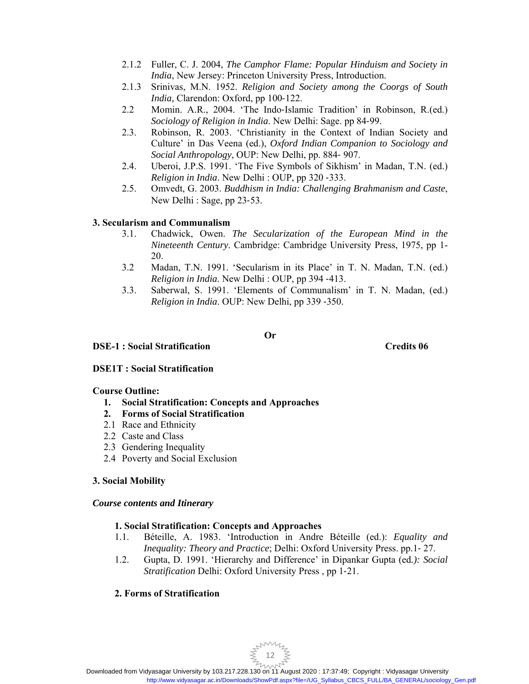- 2.1.2 Fuller, C. J. 2004, *The Camphor Flame: Popular Hinduism and Society in India*, New Jersey: Princeton University Press, Introduction.
- 2.1.3 Srinivas, M.N. 1952. *Religion and Society among the Coorgs of South India,* Clarendon: Oxford, pp 100‐122.
- 2.2 Momin. A.R., 2004. 'The Indo‐Islamic Tradition' in Robinson, R.(ed.) *Sociology of Religion in India*. New Delhi: Sage. pp 84‐99.
- 2.3. Robinson, R. 2003. 'Christianity in the Context of Indian Society and Culture' in Das Veena (ed.), *Oxford Indian Companion to Sociology and Social Anthropology*, OUP: New Delhi, pp. 884‐ 907.
- 2.4. Uberoi, J.P.S. 1991. 'The Five Symbols of Sikhism' in Madan, T.N. (ed.) *Religion in India*. New Delhi : OUP, pp 320 ‐333.
- 2.5. Omvedt, G. 2003. *Buddhism in India: Challenging Brahmanism and Caste*, New Delhi : Sage, pp 23‐53.

# **3. Secularism and Communalism**

- 3.1. Chadwick, Owen. *The Secularization of the European Mind in the Nineteenth Century*. Cambridge: Cambridge University Press, 1975, pp 1- 20.
- 3.2 Madan, T.N. 1991. 'Secularism in its Place' in T. N. Madan, T.N. (ed.) *Religion in India.* New Delhi : OUP, pp 394 ‐413.
- 3.3. Saberwal, S. 1991. 'Elements of Communalism' in T. N. Madan, (ed.) *Religion in India*. OUP: New Delhi, pp 339 ‐350.

#### **Or**

# **DSE-1 : Social Stratification Credits 06**

# **DSE1T : Social Stratification**

# **Course Outline:**

- **1. Social Stratification: Concepts and Approaches**
- **2. Forms of Social Stratification**
- 2.1 Race and Ethnicity
- 2.2 Caste and Class
- 2.3 Gendering Inequality
- 2.4 Poverty and Social Exclusion

# **3. Social Mobility**

# *Course contents and Itinerary*

# **1. Social Stratification: Concepts and Approaches**

- 1.1. Béteille, A. 1983. 'Introduction in Andre Béteille (ed.): *Equality and Inequality: Theory and Practice*; Delhi: Oxford University Press. pp.1‐ 27.
- 1.2. Gupta, D. 1991. 'Hierarchy and Difference' in Dipankar Gupta (ed*.): Social Stratification* Delhi: Oxford University Press , pp 1‐21.

# **2. Forms of Stratification**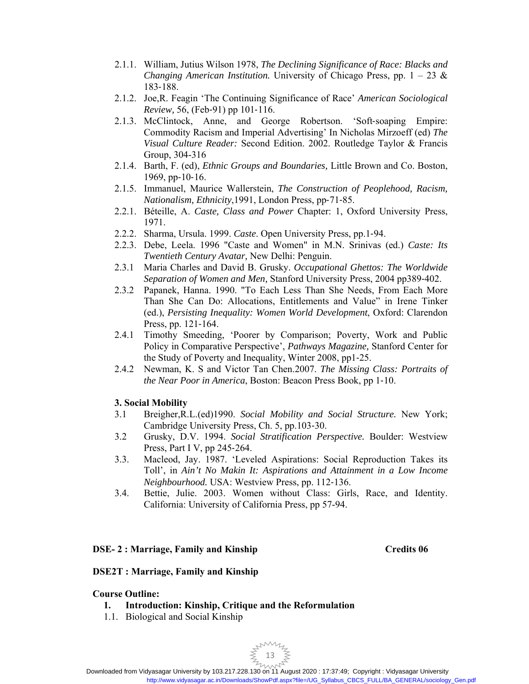- 2.1.1. William, Jutius Wilson 1978, *The Declining Significance of Race: Blacks and Changing American Institution.* University of Chicago Press, pp. 1 – 23 & 183‐188.
- 2.1.2. Joe,R. Feagin 'The Continuing Significance of Race' *American Sociological Review,* 56, (Feb‐91) pp 101‐116.
- 2.1.3. McClintock, Anne, and George Robertson. 'Soft‐soaping Empire: Commodity Racism and Imperial Advertising' In Nicholas Mirzoeff (ed) *The Visual Culture Reader:* Second Edition. 2002. Routledge Taylor & Francis Group, 304-316
- 2.1.4. Barth, F. (ed), *Ethnic Groups and Boundaries,* Little Brown and Co. Boston, 1969, pp‐10‐16.
- 2.1.5. Immanuel, Maurice Wallerstein, *The Construction of Peoplehood, Racism, Nationalism, Ethnicity*,1991, London Press, pp‐71‐85.
- 2.2.1. Béteille, A. *Caste, Class and Power* Chapter: 1, Oxford University Press, 1971.
- 2.2.2. Sharma, Ursula. 1999. *Caste*. Open University Press, pp.1‐94.
- 2.2.3. Debe, Leela. 1996 "Caste and Women" in M.N. Srinivas (ed.) *Caste: Its Twentieth Century Avatar,* New Delhi: Penguin.
- 2.3.1 Maria Charles and David B. Grusky. *Occupational Ghettos: The Worldwide Separation of Women and Men,* Stanford University Press, 2004 pp389‐402.
- 2.3.2 Papanek, Hanna. 1990. "To Each Less Than She Needs, From Each More Than She Can Do: Allocations, Entitlements and Value" in Irene Tinker (ed.), *Persisting Inequality: Women World Development*, Oxford: Clarendon Press, pp. 121‐164.
- 2.4.1 Timothy Smeeding, 'Poorer by Comparison; Poverty, Work and Public Policy in Comparative Perspective', *Pathways Magazine,* Stanford Center for the Study of Poverty and Inequality, Winter 2008, pp1‐25.
- 2.4.2 Newman, K. S and Victor Tan Chen.2007. *The Missing Class: Portraits of the Near Poor in America*, Boston: Beacon Press Book, pp 1‐10.

# **3. Social Mobility**

- 3.1 Breigher,R.L.(ed)1990. *Social Mobility and Social Structure.* New York; Cambridge University Press, Ch. 5, pp.103‐30.
- 3.2 Grusky, D.V. 1994. *Social Stratification Perspective.* Boulder: Westview Press, Part I V, pp 245‐264.
- 3.3. Macleod, Jay. 1987. 'Leveled Aspirations: Social Reproduction Takes its Toll', in *Ain't No Makin It: Aspirations and Attainment in a Low Income Neighbourhood.* USA: Westview Press, pp. 112‐136.
- 3.4. Bettie, Julie. 2003. Women without Class: Girls, Race, and Identity. California: University of California Press, pp 57-94.

#### **DSE- 2 : Marriage, Family and Kinship Credits 06 Credits 06 Credits 06 Credits 06 Credits 06 Credits 06 Credits 06 Credits 06 Credits 06 Credits 06 Credits 06 Credits 06 Credits 06 Credits 06 Credits 06 Credits 06 Credits**

# **DSE2T : Marriage, Family and Kinship**

#### **Course Outline:**

- **1. Introduction: Kinship, Critique and the Reformulation**
- 1.1. Biological and Social Kinship

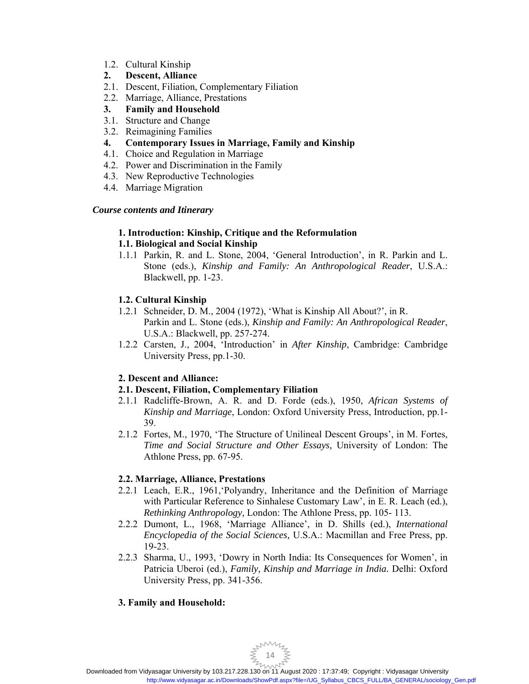- 1.2. Cultural Kinship
- **2. Descent, Alliance**
- 2.1. Descent, Filiation, Complementary Filiation
- 2.2. Marriage, Alliance, Prestations
- **3. Family and Household**
- 3.1. Structure and Change
- 3.2. Reimagining Families
- **4. Contemporary Issues in Marriage, Family and Kinship**
- 4.1. Choice and Regulation in Marriage
- 4.2. Power and Discrimination in the Family
- 4.3. New Reproductive Technologies
- 4.4. Marriage Migration

# *Course contents and Itinerary*

# **1. Introduction: Kinship, Critique and the Reformulation**

# **1.1. Biological and Social Kinship**

1.1.1 Parkin, R. and L. Stone, 2004, 'General Introduction', in R. Parkin and L. Stone (eds.), *Kinship and Family: An Anthropological Reader*, U.S.A.: Blackwell, pp. 1-23.

# **1.2. Cultural Kinship**

- 1.2.1 Schneider, D. M., 2004 (1972), 'What is Kinship All About?', in R. Parkin and L. Stone (eds.), *Kinship and Family: An Anthropological Reader*, U.S.A.: Blackwell, pp. 257-274.
- 1.2.2 Carsten, J., 2004, 'Introduction' in *After Kinship*, Cambridge: Cambridge University Press, pp.1-30.

# **2. Descent and Alliance:**

# **2.1. Descent, Filiation, Complementary Filiation**

- 2.1.1 Radcliffe-Brown, A. R. and D. Forde (eds.), 1950, *African Systems of Kinship and Marriage*, London: Oxford University Press, Introduction, pp.1- 39.
- 2.1.2 Fortes, M., 1970, 'The Structure of Unilineal Descent Groups', in M. Fortes, *Time and Social Structure and Other Essays,* University of London: The Athlone Press, pp. 67-95.

# **2.2. Marriage, Alliance, Prestations**

- 2.2.1 Leach, E.R., 1961,'Polyandry, Inheritance and the Definition of Marriage with Particular Reference to Sinhalese Customary Law', in E. R. Leach (ed.), *Rethinking Anthropology,* London: The Athlone Press, pp. 105- 113.
- 2.2.2 Dumont, L., 1968, 'Marriage Alliance', in D. Shills (ed.), *International Encyclopedia of the Social Sciences,* U.S.A.: Macmillan and Free Press, pp. 19-23.
- 2.2.3 Sharma, U., 1993, 'Dowry in North India: Its Consequences for Women', in Patricia Uberoi (ed.), *Family, Kinship and Marriage in India.* Delhi: Oxford University Press, pp. 341-356.

# **3. Family and Household:**

 $\sum_{14}^{14}$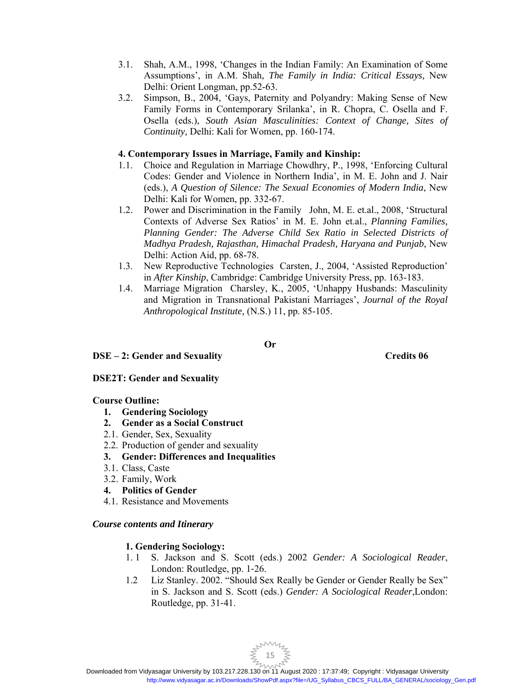- 3.1. Shah, A.M., 1998, 'Changes in the Indian Family: An Examination of Some Assumptions', in A.M. Shah, *The Family in India: Critical Essays,* New Delhi: Orient Longman, pp.52-63.
- 3.2. Simpson, B., 2004, 'Gays, Paternity and Polyandry: Making Sense of New Family Forms in Contemporary Srilanka', in R. Chopra, C. Osella and F. Osella (eds.), *South Asian Masculinities: Context of Change, Sites of Continuity,* Delhi: Kali for Women, pp. 160-174.

# **4. Contemporary Issues in Marriage, Family and Kinship:**

- 1.1. Choice and Regulation in Marriage Chowdhry, P., 1998, 'Enforcing Cultural Codes: Gender and Violence in Northern India', in M. E. John and J. Nair (eds.), *A Question of Silence: The Sexual Economies of Modern India*, New Delhi: Kali for Women, pp. 332-67.
- 1.2. Power and Discrimination in the Family John, M. E. et.al., 2008, 'Structural Contexts of Adverse Sex Ratios' in M. E. John et.al., *Planning Families, Planning Gender: The Adverse Child Sex Ratio in Selected Districts of Madhya Pradesh, Rajasthan, Himachal Pradesh, Haryana and Punjab,* New Delhi: Action Aid, pp. 68-78.
- 1.3. New Reproductive Technologies Carsten, J., 2004, 'Assisted Reproduction' in *After Kinship*, Cambridge: Cambridge University Press, pp. 163-183.
- 1.4. Marriage Migration Charsley, K., 2005, 'Unhappy Husbands: Masculinity and Migration in Transnational Pakistani Marriages', *Journal of the Royal Anthropological Institute,* (N.S.) 11, pp. 85-105.

#### **Or**

**DSE – 2: Gender and Sexuality Credits 06 Credits 06 Credits 06 Credits 06 Credits 06 Credits 06 Credits 06 Credits 06 Credits 06 Credits 06 Credits 06 Credits 06 Credits 06 Credits 06 Credits 06 Credits 06 Credits 06 Cred** 

# **DSE2T: Gender and Sexuality**

# **Course Outline:**

- **1. Gendering Sociology**
- **2. Gender as a Social Construct**
- 2.1. Gender, Sex, Sexuality
- 2.2. Production of gender and sexuality
- **3. Gender: Differences and Inequalities**
- 3.1. Class, Caste
- 3.2. Family, Work
- **4. Politics of Gender**
- 4.1. Resistance and Movements

# *Course contents and Itinerary*

# **1. Gendering Sociology:**

- 1. 1 S. Jackson and S. Scott (eds.) 2002 *Gender: A Sociological Reader*, London: Routledge, pp. 1‐26.
- 1.2 Liz Stanley. 2002. "Should Sex Really be Gender or Gender Really be Sex" in S. Jackson and S. Scott (eds.) *Gender: A Sociological Reader*,London: Routledge, pp. 31‐41.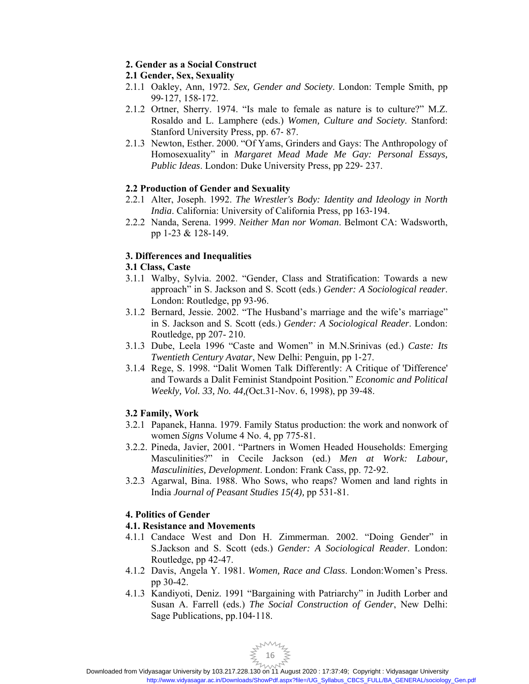# **2. Gender as a Social Construct**

# **2.1 Gender, Sex, Sexuality**

- 2.1.1 Oakley, Ann, 1972. *Sex, Gender and Society*. London: Temple Smith, pp 99‐127, 158‐172.
- 2.1.2 Ortner, Sherry. 1974. "Is male to female as nature is to culture?" M.Z. Rosaldo and L. Lamphere (eds.) *Women, Culture and Society*. Stanford: Stanford University Press, pp. 67‐ 87.
- 2.1.3 Newton, Esther. 2000. "Of Yams, Grinders and Gays: The Anthropology of Homosexuality" in *Margaret Mead Made Me Gay: Personal Essays, Public Ideas*. London: Duke University Press, pp 229‐ 237.

# **2.2 Production of Gender and Sexuality**

- 2.2.1 Alter, Joseph. 1992. *The Wrestler's Body: Identity and Ideology in North India*. California: University of California Press, pp 163‐194.
- 2.2.2 Nanda, Serena. 1999. *Neither Man nor Woman*. Belmont CA: Wadsworth, pp 1-23 & 128-149.

# **3. Differences and Inequalities**

# **3.1 Class, Caste**

- 3.1.1 Walby, Sylvia. 2002. "Gender, Class and Stratification: Towards a new approach" in S. Jackson and S. Scott (eds.) *Gender: A Sociological reader*. London: Routledge, pp 93‐96.
- 3.1.2 Bernard, Jessie. 2002. "The Husband's marriage and the wife's marriage" in S. Jackson and S. Scott (eds.) *Gender: A Sociological Reader*. London: Routledge, pp 207- 210.
- 3.1.3 Dube, Leela 1996 "Caste and Women" in M.N.Srinivas (ed.) *Caste: Its Twentieth Century Avatar*, New Delhi: Penguin, pp 1‐27.
- 3.1.4 Rege, S. 1998. "Dalit Women Talk Differently: A Critique of 'Difference' and Towards a Dalit Feminist Standpoint Position." *Economic and Political Weekly, Vol. 33, No. 44,(*Oct.31‐Nov. 6, 1998), pp 39‐48.

# **3.2 Family, Work**

- 3.2.1 Papanek, Hanna. 1979. Family Status production: the work and nonwork of women *Signs* Volume 4 No. 4, pp 775-81.
- 3.2.2. Pineda, Javier, 2001. "Partners in Women Headed Households: Emerging Masculinities?" in Cecile Jackson (ed.) *Men at Work: Labour, Masculinities, Development*. London: Frank Cass, pp. 72‐92.
- 3.2.3 Agarwal, Bina. 1988. Who Sows, who reaps? Women and land rights in India *Journal of Peasant Studies 15(4),* pp 531-81.

# **4. Politics of Gender**

# **4.1. Resistance and Movements**

- 4.1.1 Candace West and Don H. Zimmerman. 2002. "Doing Gender" in S.Jackson and S. Scott (eds.) *Gender: A Sociological Reader*. London: Routledge, pp 42‐47.
- 4.1.2 Davis, Angela Y. 1981. *Women, Race and Class*. London:Women's Press. pp 30-42.
- 4.1.3 Kandiyoti, Deniz. 1991 "Bargaining with Patriarchy" in Judith Lorber and Susan A. Farrell (eds.) *The Social Construction of Gender*, New Delhi: Sage Publications, pp.104‐118.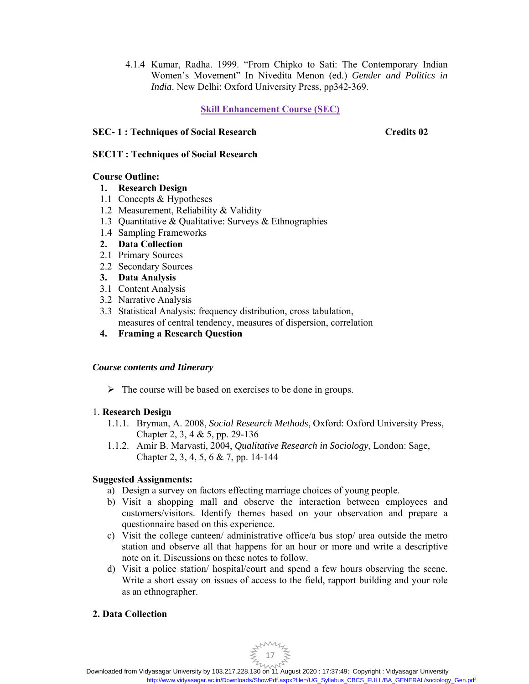4.1.4 Kumar, Radha. 1999. "From Chipko to Sati: The Contemporary Indian Women's Movement" In Nivedita Menon (ed.) *Gender and Politics in India*. New Delhi: Oxford University Press, pp342‐369.

# **Skill Enhancement Course (SEC)**

# **SEC- 1 : Techniques of Social Research Credits 02**

# **SEC1T : Techniques of Social Research**

# **Course Outline:**

# **1. Research Design**

- 1.1 Concepts & Hypotheses
- 1.2 Measurement, Reliability & Validity
- 1.3 Quantitative & Qualitative: Surveys & Ethnographies
- 1.4 Sampling Frameworks
- **2. Data Collection**
- 2.1 Primary Sources
- 2.2 Secondary Sources
- **3. Data Analysis**
- 3.1 Content Analysis
- 3.2 Narrative Analysis
- 3.3 Statistical Analysis: frequency distribution, cross tabulation, measures of central tendency, measures of dispersion, correlation
- **4. Framing a Research Question**

# *Course contents and Itinerary*

 $\triangleright$  The course will be based on exercises to be done in groups.

# 1. **Research Design**

- 1.1.1. Bryman, A. 2008, *Social Research Methods*, Oxford: Oxford University Press, Chapter 2, 3, 4 & 5, pp. 29-136
- 1.1.2. Amir B. Marvasti, 2004, *Qualitative Research in Sociology*, London: Sage, Chapter 2, 3, 4, 5, 6 & 7, pp. 14-144

# **Suggested Assignments:**

- a) Design a survey on factors effecting marriage choices of young people.
- b) Visit a shopping mall and observe the interaction between employees and customers/visitors. Identify themes based on your observation and prepare a questionnaire based on this experience.
- c) Visit the college canteen/ administrative office/a bus stop/ area outside the metro station and observe all that happens for an hour or more and write a descriptive note on it. Discussions on these notes to follow.
- d) Visit a police station/ hospital/court and spend a few hours observing the scene. Write a short essay on issues of access to the field, rapport building and your role as an ethnographer.

# **2. Data Collection**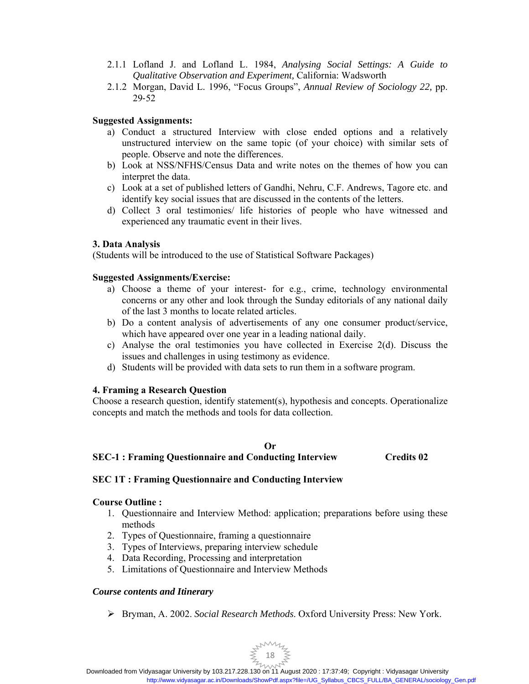- 2.1.1 Lofland J. and Lofland L. 1984, *Analysing Social Settings: A Guide to Qualitative Observation and Experiment,* California: Wadsworth
- 2.1.2 Morgan, David L. 1996, "Focus Groups", *Annual Review of Sociology 22,* pp. 29‐52

# **Suggested Assignments:**

- a) Conduct a structured Interview with close ended options and a relatively unstructured interview on the same topic (of your choice) with similar sets of people. Observe and note the differences.
- b) Look at NSS/NFHS/Census Data and write notes on the themes of how you can interpret the data.
- c) Look at a set of published letters of Gandhi, Nehru, C.F. Andrews, Tagore etc. and identify key social issues that are discussed in the contents of the letters.
- d) Collect 3 oral testimonies/ life histories of people who have witnessed and experienced any traumatic event in their lives.

# **3. Data Analysis**

(Students will be introduced to the use of Statistical Software Packages)

# **Suggested Assignments/Exercise:**

- a) Choose a theme of your interest- for e.g., crime, technology environmental concerns or any other and look through the Sunday editorials of any national daily of the last 3 months to locate related articles.
- b) Do a content analysis of advertisements of any one consumer product/service, which have appeared over one year in a leading national daily.
- c) Analyse the oral testimonies you have collected in Exercise 2(d). Discuss the issues and challenges in using testimony as evidence.
- d) Students will be provided with data sets to run them in a software program.

# **4. Framing a Research Question**

Choose a research question, identify statement(s), hypothesis and concepts. Operationalize concepts and match the methods and tools for data collection.

# **Or SEC-1 : Framing Questionnaire and Conducting Interview Credits 02**

# **SEC 1T : Framing Questionnaire and Conducting Interview**

# **Course Outline :**

- 1. Questionnaire and Interview Method: application; preparations before using these methods
- 2. Types of Questionnaire, framing a questionnaire
- 3. Types of Interviews, preparing interview schedule
- 4. Data Recording, Processing and interpretation
- 5. Limitations of Questionnaire and Interview Methods

# *Course contents and Itinerary*

Bryman, A. 2002. *Social Research Methods*. Oxford University Press: New York.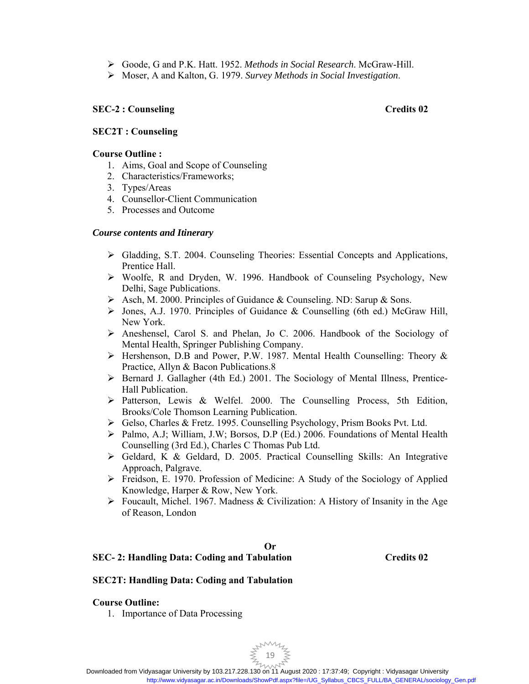- Goode, G and P.K. Hatt. 1952. *Methods in Social Research*. McGraw-Hill.
- Moser, A and Kalton, G. 1979. *Survey Methods in Social Investigation*.

# **SEC-2 : Counseling Credits 02**

# **SEC2T : Counseling**

# **Course Outline :**

- 1. Aims, Goal and Scope of Counseling
- 2. Characteristics/Frameworks;
- 3. Types/Areas
- 4. Counsellor-Client Communication
- 5. Processes and Outcome

# *Course contents and Itinerary*

- $\triangleright$  Gladding, S.T. 2004. Counseling Theories: Essential Concepts and Applications, Prentice Hall.
- Woolfe, R and Dryden, W. 1996. Handbook of Counseling Psychology, New Delhi, Sage Publications.
- $\triangleright$  Asch, M. 2000. Principles of Guidance & Counseling. ND: Sarup & Sons.
- Jones, A.J. 1970. Principles of Guidance & Counselling (6th ed.) McGraw Hill, New York.
- $\triangleright$  Aneshensel, Carol S. and Phelan, Jo C. 2006. Handbook of the Sociology of Mental Health, Springer Publishing Company.
- Hershenson, D.B and Power, P.W. 1987. Mental Health Counselling: Theory & Practice, Allyn & Bacon Publications.8
- Bernard J. Gallagher (4th Ed.) 2001. The Sociology of Mental Illness, Prentice-Hall Publication.
- $\triangleright$  Patterson, Lewis & Welfel. 2000. The Counselling Process, 5th Edition, Brooks/Cole Thomson Learning Publication.
- Gelso, Charles & Fretz. 1995. Counselling Psychology, Prism Books Pvt. Ltd.
- $\triangleright$  Palmo, A.J; William, J.W; Borsos, D.P (Ed.) 2006. Foundations of Mental Health Counselling (3rd Ed.), Charles C Thomas Pub Ltd.
- Geldard, K & Geldard, D. 2005. Practical Counselling Skills: An Integrative Approach, Palgrave.
- Freidson, E. 1970. Profession of Medicine: A Study of the Sociology of Applied Knowledge, Harper & Row, New York.
- $\triangleright$  Foucault, Michel. 1967. Madness & Civilization: A History of Insanity in the Age of Reason, London

# **Or**

# **SEC- 2: Handling Data: Coding and Tabulation Credits 02**

# **SEC2T: Handling Data: Coding and Tabulation**

# **Course Outline:**

1. Importance of Data Processing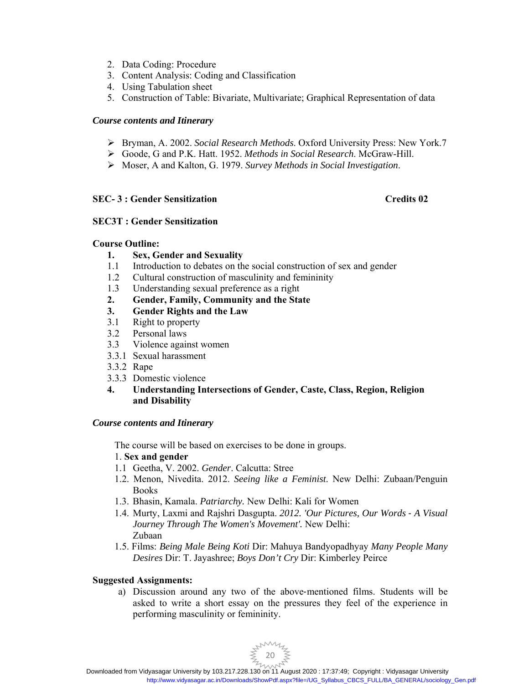- 2. Data Coding: Procedure
- 3. Content Analysis: Coding and Classification
- 4. Using Tabulation sheet
- 5. Construction of Table: Bivariate, Multivariate; Graphical Representation of data

# *Course contents and Itinerary*

- Bryman, A. 2002. *Social Research Methods*. Oxford University Press: New York.7
- Goode, G and P.K. Hatt. 1952. *Methods in Social Research*. McGraw-Hill.
- Moser, A and Kalton, G. 1979. *Survey Methods in Social Investigation*.

# **SEC- 3 : Gender Sensitization Credits 02**

# **SEC3T : Gender Sensitization**

# **Course Outline:**

- **1. Sex, Gender and Sexuality**
- 1.1 Introduction to debates on the social construction of sex and gender
- 1.2 Cultural construction of masculinity and femininity
- 1.3 Understanding sexual preference as a right
- **2. Gender, Family, Community and the State**
- **3. Gender Rights and the Law**
- 3.1 Right to property
- 3.2 Personal laws
- 3.3 Violence against women
- 3.3.1 Sexual harassment
- 3.3.2 Rape
- 3.3.3 Domestic violence

# **4. Understanding Intersections of Gender, Caste, Class, Region, Religion and Disability**

# *Course contents and Itinerary*

The course will be based on exercises to be done in groups.

# 1. **Sex and gender**

- 1.1 Geetha, V. 2002. *Gender*. Calcutta: Stree
- 1.2. Menon, Nivedita. 2012. *Seeing like a Feminist*. New Delhi: Zubaan/Penguin Books
- 1.3. Bhasin, Kamala. *Patriarchy.* New Delhi: Kali for Women
- 1.4. Murty, Laxmi and Rajshri Dasgupta. *2012. 'Our Pictures, Our Words* ‐ *A Visual Journey Through The Women's Movement'.* New Delhi: Zubaan
- 1.5. Films: *Being Male Being Koti* Dir: Mahuya Bandyopadhyay *Many People Many Desires* Dir: T. Jayashree; *Boys Don't Cry* Dir: Kimberley Peirce

# **Suggested Assignments:**

a) Discussion around any two of the above‐mentioned films. Students will be asked to write a short essay on the pressures they feel of the experience in performing masculinity or femininity.

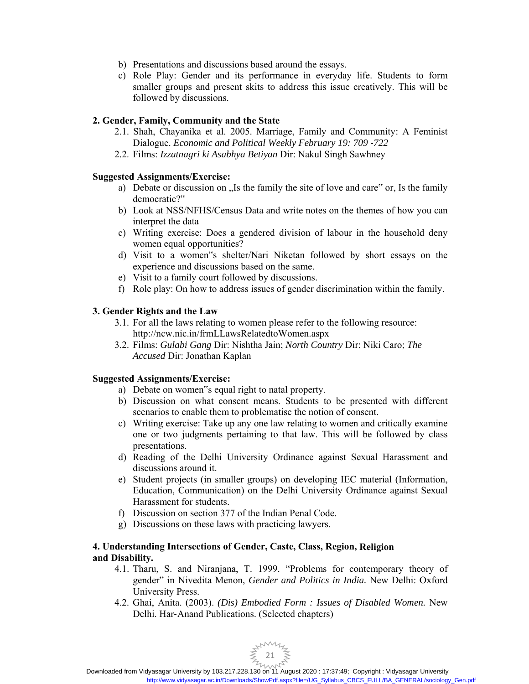- b) Presentations and discussions based around the essays.
- c) Role Play: Gender and its performance in everyday life. Students to form smaller groups and present skits to address this issue creatively. This will be followed by discussions.

# **2. Gender, Family, Community and the State**

- 2.1. Shah, Chayanika et al. 2005. Marriage, Family and Community: A Feminist Dialogue. *Economic and Political Weekly February 19: 709 -722*
- 2.2. Films: *Izzatnagri ki Asabhya Betiyan* Dir: Nakul Singh Sawhney

# **Suggested Assignments/Exercise:**

- a) Debate or discussion on  $\sqrt{a}$ , Is the family the site of love and care" or, Is the family democratic?"
- b) Look at NSS/NFHS/Census Data and write notes on the themes of how you can interpret the data
- c) Writing exercise: Does a gendered division of labour in the household deny women equal opportunities?
- d) Visit to a women"s shelter/Nari Niketan followed by short essays on the experience and discussions based on the same.
- e) Visit to a family court followed by discussions.
- f) Role play: On how to address issues of gender discrimination within the family.

# **3. Gender Rights and the Law**

- 3.1. For all the laws relating to women please refer to the following resource: http://ncw.nic.in/frmLLawsRelatedtoWomen.aspx
- 3.2. Films: *Gulabi Gang* Dir: Nishtha Jain; *North Country* Dir: Niki Caro; *The Accused* Dir: Jonathan Kaplan

# **Suggested Assignments/Exercise:**

- a) Debate on women"s equal right to natal property.
- b) Discussion on what consent means. Students to be presented with different scenarios to enable them to problematise the notion of consent.
- c) Writing exercise: Take up any one law relating to women and critically examine one or two judgments pertaining to that law. This will be followed by class presentations.
- d) Reading of the Delhi University Ordinance against Sexual Harassment and discussions around it.
- e) Student projects (in smaller groups) on developing IEC material (Information, Education, Communication) on the Delhi University Ordinance against Sexual Harassment for students.
- f) Discussion on section 377 of the Indian Penal Code.
- g) Discussions on these laws with practicing lawyers.

# **4. Understanding Intersections of Gender, Caste, Class, Region, Religion and Disability.**

- 4.1. Tharu, S. and Niranjana, T. 1999. "Problems for contemporary theory of gender" in Nivedita Menon, *Gender and Politics in India.* New Delhi: Oxford University Press.
- 4.2. Ghai, Anita. (2003). *(Dis) Embodied Form : Issues of Disabled Women.* New Delhi. Har‐Anand Publications. (Selected chapters)

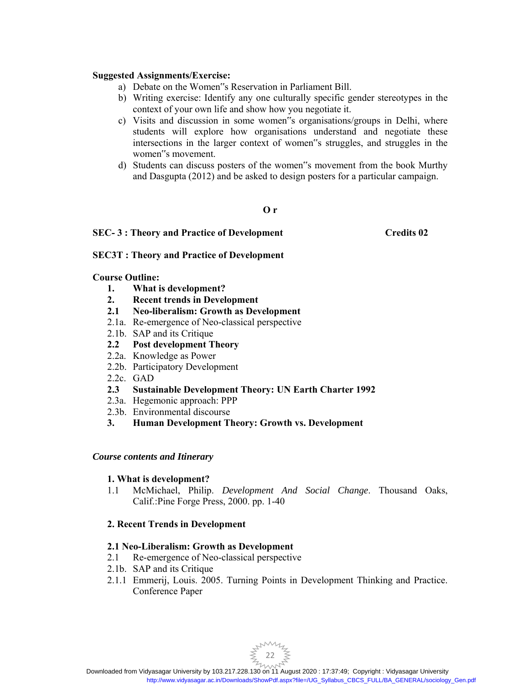#### **Suggested Assignments/Exercise:**

- a) Debate on the Women"s Reservation in Parliament Bill.
- b) Writing exercise: Identify any one culturally specific gender stereotypes in the context of your own life and show how you negotiate it.
- c) Visits and discussion in some women"s organisations/groups in Delhi, where students will explore how organisations understand and negotiate these intersections in the larger context of women"s struggles, and struggles in the women"s movement.
- d) Students can discuss posters of the women"s movement from the book Murthy and Dasgupta (2012) and be asked to design posters for a particular campaign.

#### **O r**

# SEC-3: Theory and Practice of Development Credits 02

# **SEC3T : Theory and Practice of Development**

#### **Course Outline:**

- **1. What is development?**
- **2. Recent trends in Development**
- **2.1 Neo-liberalism: Growth as Development**
- 2.1a. Re-emergence of Neo-classical perspective
- 2.1b. SAP and its Critique
- **2.2 Post development Theory**
- 2.2a. Knowledge as Power
- 2.2b. Participatory Development
- 2.2c. GAD
- **2.3 Sustainable Development Theory: UN Earth Charter 1992**
- 2.3a. Hegemonic approach: PPP
- 2.3b. Environmental discourse
- **3. Human Development Theory: Growth vs. Development**

# *Course contents and Itinerary*

# **1. What is development?**

1.1 McMichael, Philip. *Development And Social Change*. Thousand Oaks, Calif.:Pine Forge Press, 2000. pp. 1-40

# **2. Recent Trends in Development**

# **2.1 Neo-Liberalism: Growth as Development**

- 2.1 Re-emergence of Neo-classical perspective
- 2.1b. SAP and its Critique
- 2.1.1 Emmerij, Louis. 2005. Turning Points in Development Thinking and Practice. Conference Paper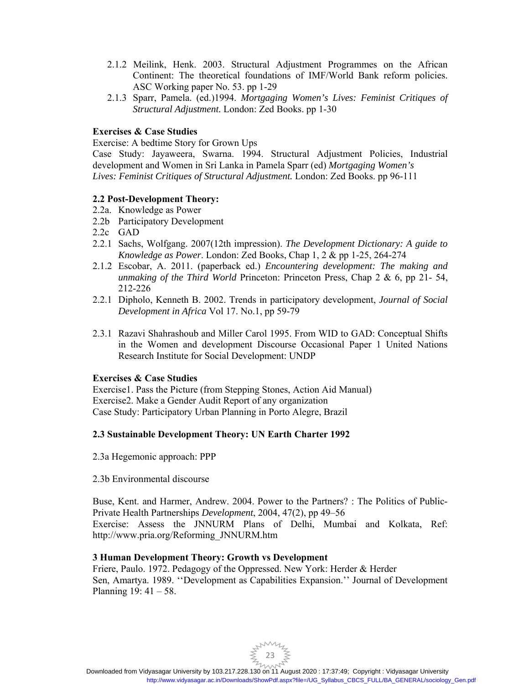- 2.1.2 Meilink, Henk. 2003. Structural Adjustment Programmes on the African Continent: The theoretical foundations of IMF/World Bank reform policies. ASC Working paper No. 53. pp 1-29
- 2.1.3 Sparr, Pamela. (ed.)1994. *Mortgaging Women's Lives: Feminist Critiques of Structural Adjustment.* London: Zed Books. pp 1-30

# **Exercises & Case Studies**

Exercise: A bedtime Story for Grown Ups

Case Study: Jayaweera, Swarna. 1994. Structural Adjustment Policies, Industrial development and Women in Sri Lanka in Pamela Sparr (ed) *Mortgaging Women's Lives: Feminist Critiques of Structural Adjustment.* London: Zed Books. pp 96-111

# **2.2 Post-Development Theory:**

- 2.2a. Knowledge as Power
- 2.2b Participatory Development
- 2.2c GAD
- 2.2.1 Sachs, Wolfgang. 2007(12th impression). *The Development Dictionary: A guide to Knowledge as Power*. London: Zed Books, Chap 1, 2 & pp 1-25, 264-274
- 2.1.2 Escobar, A. 2011. (paperback ed.) *Encountering development: The making and unmaking of the Third World* Princeton: Princeton Press, Chap 2 & 6, pp 21- 54, 212-226
- 2.2.1 Dipholo, Kenneth B. 2002. Trends in participatory development, *Journal of Social Development in Africa* Vol 17. No.1, pp 59-79
- 2.3.1 Razavi Shahrashoub and Miller Carol 1995. From WID to GAD: Conceptual Shifts in the Women and development Discourse Occasional Paper 1 United Nations Research Institute for Social Development: UNDP

# **Exercises & Case Studies**

Exercise1. Pass the Picture (from Stepping Stones, Action Aid Manual) Exercise2. Make a Gender Audit Report of any organization Case Study: Participatory Urban Planning in Porto Alegre, Brazil

# **2.3 Sustainable Development Theory: UN Earth Charter 1992**

- 2.3a Hegemonic approach: PPP
- 2.3b Environmental discourse

Buse, Kent. and Harmer, Andrew. 2004. Power to the Partners? : The Politics of Public-Private Health Partnerships *Development*, 2004, 47(2), pp 49–56 Exercise: Assess the JNNURM Plans of Delhi, Mumbai and Kolkata, Ref: http://www.pria.org/Reforming\_JNNURM.htm

# **3 Human Development Theory: Growth vs Development**

Friere, Paulo. 1972. Pedagogy of the Oppressed. New York: Herder & Herder Sen, Amartya. 1989. ''Development as Capabilities Expansion.'' Journal of Development Planning 19: 41 – 58.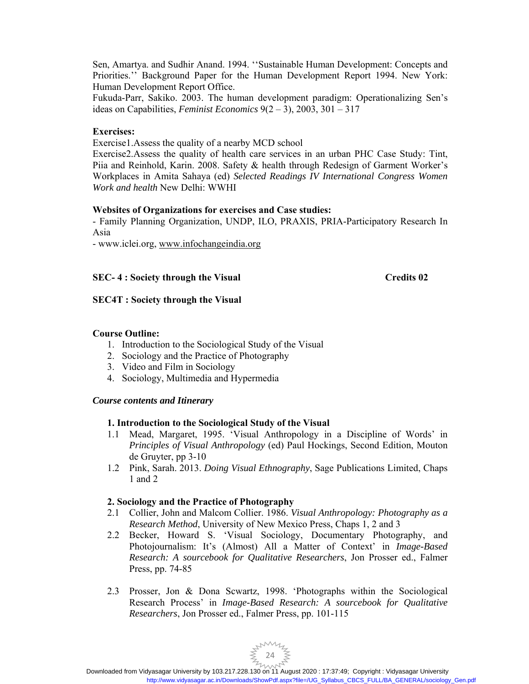Sen, Amartya. and Sudhir Anand. 1994. ''Sustainable Human Development: Concepts and Priorities.'' Background Paper for the Human Development Report 1994. New York: Human Development Report Office.

Fukuda-Parr, Sakiko. 2003. The human development paradigm: Operationalizing Sen's ideas on Capabilities, *Feminist Economics* 9(2 – 3), 2003, 301 – 317

#### **Exercises:**

Exercise1.Assess the quality of a nearby MCD school

Exercise2.Assess the quality of health care services in an urban PHC Case Study: Tint, Piia and Reinhold, Karin. 2008. Safety & health through Redesign of Garment Worker's Workplaces in Amita Sahaya (ed) *Selected Readings IV International Congress Women Work and health* New Delhi: WWHI

#### **Websites of Organizations for exercises and Case studies:**

- Family Planning Organization, UNDP, ILO, PRAXIS, PRIA-Participatory Research In Asia

- www.iclei.org, www.infochangeindia.org

# **SEC-4:** Society through the Visual Credits 02

#### **SEC4T : Society through the Visual**

# **Course Outline:**

- 1. Introduction to the Sociological Study of the Visual
- 2. Sociology and the Practice of Photography
- 3. Video and Film in Sociology
- 4. Sociology, Multimedia and Hypermedia

#### *Course contents and Itinerary*

# **1. Introduction to the Sociological Study of the Visual**

- 1.1 Mead, Margaret, 1995. 'Visual Anthropology in a Discipline of Words' in *Principles of Visual Anthropology* (ed) Paul Hockings, Second Edition, Mouton de Gruyter, pp 3-10
- 1.2 Pink, Sarah. 2013. *Doing Visual Ethnography*, Sage Publications Limited, Chaps 1 and 2

# **2. Sociology and the Practice of Photography**

- 2.1 Collier, John and Malcom Collier. 1986. *Visual Anthropology: Photography as a Research Method*, University of New Mexico Press, Chaps 1, 2 and 3
- 2.2 Becker, Howard S. 'Visual Sociology, Documentary Photography, and Photojournalism: It's (Almost) All a Matter of Context' in *Image-Based Research: A sourcebook for Qualitative Researchers*, Jon Prosser ed., Falmer Press, pp. 74-85
- 2.3 Prosser, Jon & Dona Scwartz, 1998. 'Photographs within the Sociological Research Process' in *Image-Based Research: A sourcebook for Qualitative Researchers*, Jon Prosser ed., Falmer Press, pp. 101-115

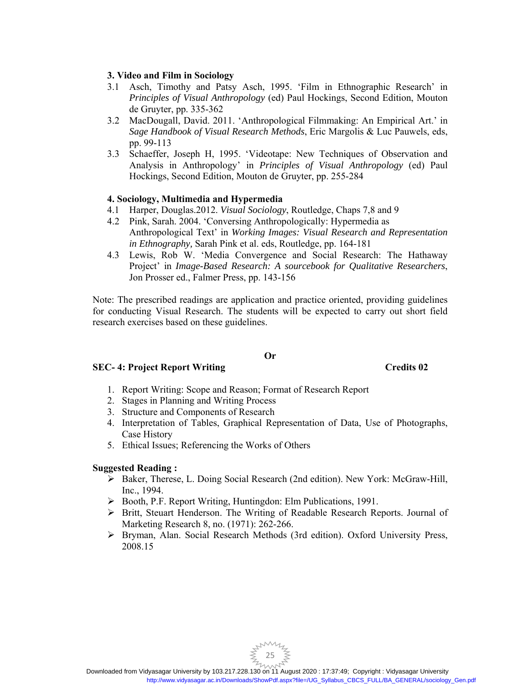# **3. Video and Film in Sociology**

- 3.1 Asch, Timothy and Patsy Asch, 1995. 'Film in Ethnographic Research' in *Principles of Visual Anthropology* (ed) Paul Hockings, Second Edition, Mouton de Gruyter, pp. 335-362
- 3.2 MacDougall, David. 2011. 'Anthropological Filmmaking: An Empirical Art.' in *Sage Handbook of Visual Research Methods*, Eric Margolis & Luc Pauwels, eds, pp. 99-113
- 3.3 Schaeffer, Joseph H, 1995. 'Videotape: New Techniques of Observation and Analysis in Anthropology' in *Principles of Visual Anthropology* (ed) Paul Hockings, Second Edition, Mouton de Gruyter, pp. 255-284

# **4. Sociology, Multimedia and Hypermedia**

- 4.1 Harper, Douglas.2012. *Visual Sociology*, Routledge, Chaps 7,8 and 9
- 4.2 Pink, Sarah. 2004. 'Conversing Anthropologically: Hypermedia as Anthropological Text' in *Working Images: Visual Research and Representation in Ethnography,* Sarah Pink et al. eds, Routledge, pp. 164-181
- 4.3 Lewis, Rob W. 'Media Convergence and Social Research: The Hathaway Project' in *Image-Based Research: A sourcebook for Qualitative Researchers*, Jon Prosser ed., Falmer Press, pp. 143-156

Note: The prescribed readings are application and practice oriented, providing guidelines for conducting Visual Research. The students will be expected to carry out short field research exercises based on these guidelines.

# **Or**

# **SEC- 4: Project Report Writing Credits 02 2**

- 1. Report Writing: Scope and Reason; Format of Research Report
- 2. Stages in Planning and Writing Process
- 3. Structure and Components of Research
- 4. Interpretation of Tables, Graphical Representation of Data, Use of Photographs, Case History
- 5. Ethical Issues; Referencing the Works of Others

# **Suggested Reading :**

- Baker, Therese, L. Doing Social Research (2nd edition). New York: McGraw-Hill, Inc., 1994.
- Booth, P.F. Report Writing, Huntingdon: Elm Publications, 1991.
- Britt, Steuart Henderson. The Writing of Readable Research Reports. Journal of Marketing Research 8, no. (1971): 262-266.
- Bryman, Alan. Social Research Methods (3rd edition). Oxford University Press, 2008.15

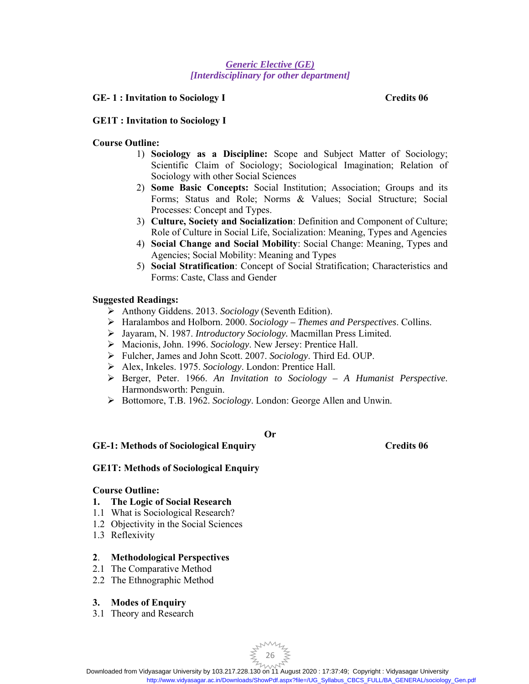# *Generic Elective (GE) [Interdisciplinary for other department]*

#### **GE- 1 : Invitation to Sociology I Credits 06**

#### **GE1T : Invitation to Sociology I**

#### **Course Outline:**

- 1) **Sociology as a Discipline:** Scope and Subject Matter of Sociology; Scientific Claim of Sociology; Sociological Imagination; Relation of Sociology with other Social Sciences
- 2) **Some Basic Concepts:** Social Institution; Association; Groups and its Forms; Status and Role; Norms & Values; Social Structure; Social Processes: Concept and Types.
- 3) **Culture, Society and Socialization**: Definition and Component of Culture; Role of Culture in Social Life, Socialization: Meaning, Types and Agencies
- 4) **Social Change and Social Mobility**: Social Change: Meaning, Types and Agencies; Social Mobility: Meaning and Types
- 5) **Social Stratification**: Concept of Social Stratification; Characteristics and Forms: Caste, Class and Gender

# **Suggested Readings:**

- Anthony Giddens. 2013. *Sociology* (Seventh Edition).
- Haralambos and Holborn. 2000. *Sociology Themes and Perspectives*. Collins.
- Jayaram, N. 1987. *Introductory Sociology.* Macmillan Press Limited.
- Macionis, John. 1996. *Sociology*. New Jersey: Prentice Hall.
- Fulcher, James and John Scott. 2007. *Sociology*. Third Ed. OUP.
- Alex, Inkeles. 1975. *Sociology*. London: Prentice Hall.
- Berger, Peter. 1966. *An Invitation to Sociology A Humanist Perspective*. Harmondsworth: Penguin.
- Bottomore, T.B. 1962. *Sociology*. London: George Allen and Unwin.

# **Or**

#### **GE-1: Methods of Sociological Enquiry Credits 06**

# **GE1T: Methods of Sociological Enquiry**

#### **Course Outline:**

- **1. The Logic of Social Research**
- 1.1 What is Sociological Research?
- 1.2 Objectivity in the Social Sciences
- 1.3 Reflexivity

#### **2**. **Methodological Perspectives**

- 2.1 The Comparative Method
- 2.2 The Ethnographic Method

#### **3. Modes of Enquiry**

3.1 Theory and Research

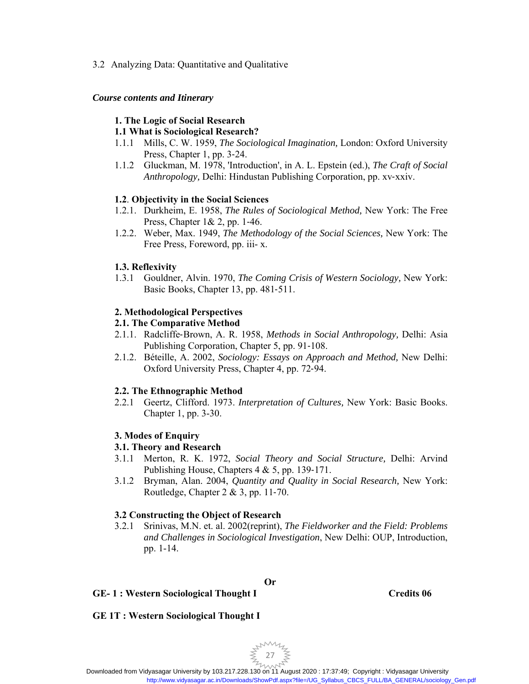# 3.2 Analyzing Data: Quantitative and Qualitative

# *Course contents and Itinerary*

# **1. The Logic of Social Research**

# **1.1 What is Sociological Research?**

- 1.1.1 Mills, C. W. 1959, *The Sociological Imagination,* London: Oxford University Press, Chapter 1, pp. 3‐24.
- 1.1.2 Gluckman, M. 1978, 'Introduction', in A. L. Epstein (ed.), *The Craft of Social Anthropology,* Delhi: Hindustan Publishing Corporation, pp. xv‐xxiv.

# **1.2**. **Objectivity in the Social Sciences**

- 1.2.1. Durkheim, E. 1958, *The Rules of Sociological Method,* New York: The Free Press, Chapter 1& 2, pp. 1‐46.
- 1.2.2. Weber, Max. 1949, *The Methodology of the Social Sciences,* New York: The Free Press, Foreword, pp. iii- x.

# **1.3. Reflexivity**

1.3.1 Gouldner, Alvin. 1970, *The Coming Crisis of Western Sociology,* New York: Basic Books, Chapter 13, pp. 481‐511.

# **2. Methodological Perspectives**

# **2.1. The Comparative Method**

- 2.1.1. Radcliffe‐Brown, A. R. 1958, *Methods in Social Anthropology,* Delhi: Asia Publishing Corporation, Chapter 5, pp. 91‐108.
- 2.1.2. Béteille, A. 2002, *Sociology: Essays on Approach and Method,* New Delhi: Oxford University Press, Chapter 4, pp. 72‐94.

# **2.2. The Ethnographic Method**

2.2.1 Geertz, Clifford. 1973. *Interpretation of Cultures,* New York: Basic Books. Chapter 1, pp. 3-30.

# **3. Modes of Enquiry**

# **3.1. Theory and Research**

- 3.1.1 Merton, R. K. 1972, *Social Theory and Social Structure,* Delhi: Arvind Publishing House, Chapters 4 & 5, pp. 139‐171.
- 3.1.2 Bryman, Alan. 2004, *Quantity and Quality in Social Research,* New York: Routledge, Chapter 2 & 3, pp. 11‐70.

# **3.2 Constructing the Object of Research**

3.2.1 Srinivas, M.N. et. al. 2002(reprint), *The Fieldworker and the Field: Problems and Challenges in Sociological Investigation*, New Delhi: OUP, Introduction, pp. 1-14.

# **Or**

# **GE- 1 : Western Sociological Thought I Credits 06**

# **GE 1T : Western Sociological Thought I**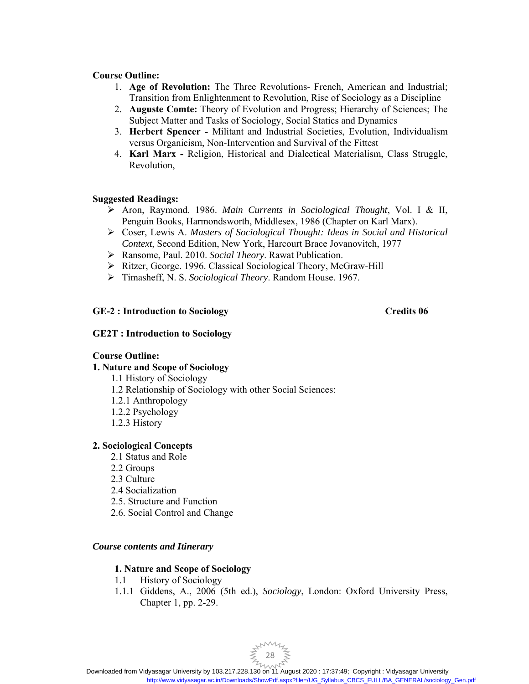# **Course Outline:**

- 1. **Age of Revolution:** The Three Revolutions- French, American and Industrial; Transition from Enlightenment to Revolution, Rise of Sociology as a Discipline
- 2. **Auguste Comte:** Theory of Evolution and Progress; Hierarchy of Sciences; The Subject Matter and Tasks of Sociology, Social Statics and Dynamics
- 3. **Herbert Spencer** Militant and Industrial Societies, Evolution, Individualism versus Organicism, Non-Intervention and Survival of the Fittest
- 4. **Karl Marx** Religion, Historical and Dialectical Materialism, Class Struggle, Revolution,

# **Suggested Readings:**

- Aron, Raymond. 1986. *Main Currents in Sociological Thought*, Vol. I & II, Penguin Books, Harmondsworth, Middlesex, 1986 (Chapter on Karl Marx).
- Coser, Lewis A. *Masters of Sociological Thought: Ideas in Social and Historical Context*, Second Edition, New York, Harcourt Brace Jovanovitch, 1977
- Ransome, Paul. 2010. *Social Theory*. Rawat Publication.
- Ritzer, George. 1996. Classical Sociological Theory, McGraw-Hill
- Timasheff, N. S. *Sociological Theory*. Random House. 1967.

# **GE-2 : Introduction to Sociology Credits 06**

#### **GE2T : Introduction to Sociology**

# **Course Outline:**

# **1. Nature and Scope of Sociology**

- 1.1 History of Sociology
- 1.2 Relationship of Sociology with other Social Sciences:
- 1.2.1 Anthropology
- 1.2.2 Psychology
- 1.2.3 History

#### **2. Sociological Concepts**

- 2.1 Status and Role
- 2.2 Groups
- 2.3 Culture
- 2.4 Socialization
- 2.5. Structure and Function
- 2.6. Social Control and Change

#### *Course contents and Itinerary*

# **1. Nature and Scope of Sociology**

- 1.1 History of Sociology
- 1.1.1 Giddens, A., 2006 (5th ed.), *Sociology*, London: Oxford University Press, Chapter 1, pp. 2-29.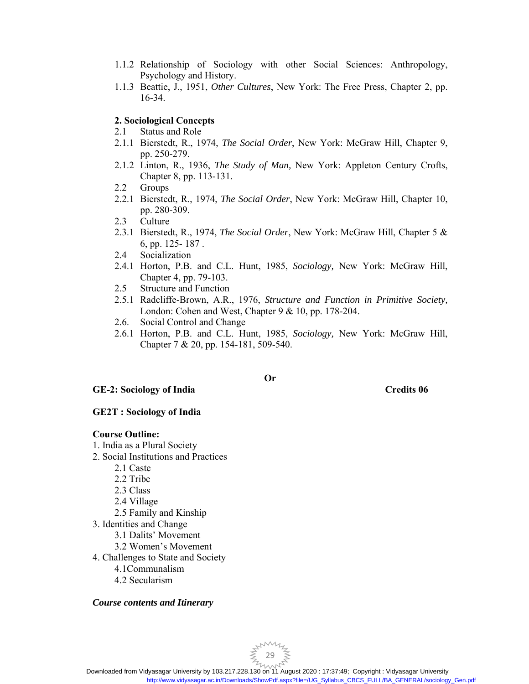- 1.1.2 Relationship of Sociology with other Social Sciences: Anthropology, Psychology and History.
- 1.1.3 Beattie, J., 1951, *Other Cultures*, New York: The Free Press, Chapter 2, pp. 16-34.

# **2. Sociological Concepts**

- 2.1 Status and Role
- 2.1.1 Bierstedt, R., 1974, *The Social Order*, New York: McGraw Hill, Chapter 9, pp. 250-279.
- 2.1.2 Linton, R., 1936, *The Study of Man,* New York: Appleton Century Crofts, Chapter 8, pp. 113-131.
- 2.2 Groups
- 2.2.1 Bierstedt, R., 1974, *The Social Order*, New York: McGraw Hill, Chapter 10, pp. 280-309.
- 2.3 Culture
- 2.3.1 Bierstedt, R., 1974, *The Social Order*, New York: McGraw Hill, Chapter 5 & 6, pp. 125- 187 .
- 2.4 Socialization
- 2.4.1 Horton, P.B. and C.L. Hunt, 1985, *Sociology,* New York: McGraw Hill, Chapter 4, pp. 79-103.
- 2.5 Structure and Function
- 2.5.1 Radcliffe-Brown, A.R., 1976, *Structure and Function in Primitive Society,*  London: Cohen and West, Chapter 9 & 10, pp. 178-204.
- 2.6. Social Control and Change
- 2.6.1 Horton, P.B. and C.L. Hunt, 1985, *Sociology,* New York: McGraw Hill, Chapter 7 & 20, pp. 154-181, 509-540.

# **GE-2: Sociology of India Credits 06**

# **Or**

# **GE2T : Sociology of India**

# **Course Outline:**

- 1. India as a Plural Society
- 2. Social Institutions and Practices
	- 2.1 Caste
	- 2.2 Tribe
	- 2.3 Class
	- 2.4 Village
	- 2.5 Family and Kinship
- 3. Identities and Change
	- 3.1 Dalits' Movement
	- 3.2 Women's Movement
- 4. Challenges to State and Society
	- 4.1Communalism
	- 4.2 Secularism

# *Course contents and Itinerary*

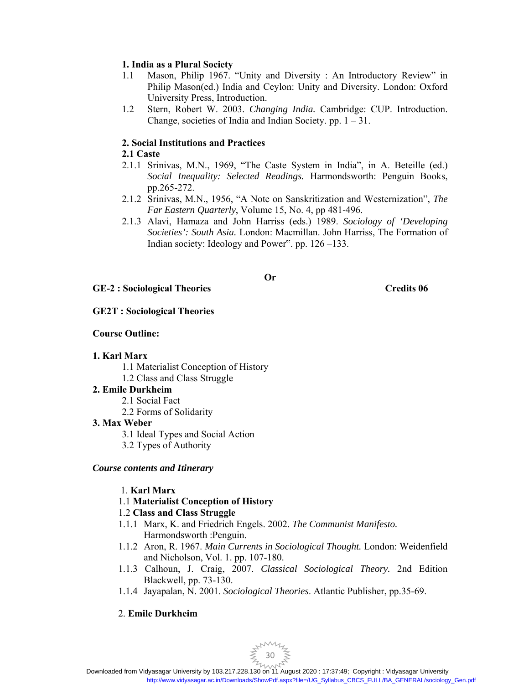# **1. India as a Plural Society**

- 1.1 Mason, Philip 1967. "Unity and Diversity : An Introductory Review" in Philip Mason(ed.) India and Ceylon: Unity and Diversity. London: Oxford University Press, Introduction.
- 1.2 Stern, Robert W. 2003. *Changing India.* Cambridge: CUP. Introduction. Change, societies of India and Indian Society. pp.  $1 - 31$ .

# **2. Social Institutions and Practices**

# **2.1 Caste**

- 2.1.1 Srinivas, M.N., 1969, "The Caste System in India", in A. Beteille (ed.) *Social Inequality: Selected Readings.* Harmondsworth: Penguin Books, pp.265-272.
- 2.1.2 Srinivas, M.N., 1956, "A Note on Sanskritization and Westernization", *The Far Eastern Quarterly*, Volume 15, No. 4, pp 481-496.
- 2.1.3 Alavi, Hamaza and John Harriss (eds.) 1989. *Sociology of 'Developing Societies': South Asia.* London: Macmillan. John Harriss, The Formation of Indian society: Ideology and Power". pp. 126 –133.

**Or** 

# **GE-2 : Sociological Theories Credits 06**

# **GE2T : Sociological Theories**

# **Course Outline:**

# **1. Karl Marx**

- 1.1 Materialist Conception of History
- 1.2 Class and Class Struggle

# **2. Emile Durkheim**

- 2.1 Social Fact
- 2.2 Forms of Solidarity

# **3. Max Weber**

- 3.1 Ideal Types and Social Action
- 3.2 Types of Authority

# *Course contents and Itinerary*

# 1. **Karl Marx**

1.1 **Materialist Conception of History** 

# 1.2 **Class and Class Struggle**

- 1.1.1 Marx, K. and Friedrich Engels. 2002. *The Communist Manifesto.*  Harmondsworth :Penguin.
- 1.1.2 Aron, R. 1967. *Main Currents in Sociological Thought.* London: Weidenfield and Nicholson, Vol. 1. pp. 107-180.
- 1.1.3 Calhoun, J. Craig, 2007. *Classical Sociological Theory.* 2nd Edition Blackwell, pp. 73-130.
- 1.1.4 Jayapalan, N. 2001. *Sociological Theories*. Atlantic Publisher, pp.35-69.

# 2. **Emile Durkheim**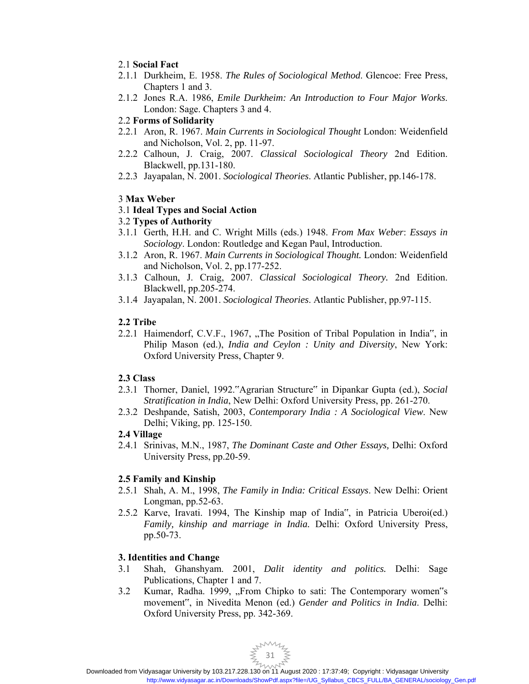# 2.1 **Social Fact**

- 2.1.1 Durkheim, E. 1958. *The Rules of Sociological Method*. Glencoe: Free Press, Chapters 1 and 3.
- 2.1.2 Jones R.A. 1986, *Emile Durkheim: An Introduction to Four Major Works*. London: Sage. Chapters 3 and 4.

# 2.2 **Forms of Solidarity**

- 2.2.1 Aron, R. 1967. *Main Currents in Sociological Thought* London: Weidenfield and Nicholson, Vol. 2, pp. 11-97.
- 2.2.2 Calhoun, J. Craig, 2007. *Classical Sociological Theory* 2nd Edition. Blackwell, pp.131-180.
- 2.2.3 Jayapalan, N. 2001. *Sociological Theories*. Atlantic Publisher, pp.146-178.

# 3 **Max Weber**

# 3.1 **Ideal Types and Social Action**

# 3.2 **Types of Authority**

- 3.1.1 Gerth, H.H. and C. Wright Mills (eds.) 1948. *From Max Weber*: *Essays in Sociology*. London: Routledge and Kegan Paul, Introduction.
- 3.1.2 Aron, R. 1967. *Main Currents in Sociological Thought.* London: Weidenfield and Nicholson, Vol. 2, pp.177-252.
- 3.1.3 Calhoun, J. Craig, 2007. *Classical Sociological Theory.* 2nd Edition. Blackwell, pp.205-274.
- 3.1.4 Jayapalan, N. 2001. *Sociological Theories*. Atlantic Publisher, pp.97-115.

# **2.2 Tribe**

2.2.1 Haimendorf, C.V.F., 1967, "The Position of Tribal Population in India", in Philip Mason (ed.), *India and Ceylon : Unity and Diversity*, New York: Oxford University Press, Chapter 9.

# **2.3 Class**

- 2.3.1 Thorner, Daniel, 1992."Agrarian Structure" in Dipankar Gupta (ed.), *Social Stratification in India*, New Delhi: Oxford University Press, pp. 261-270.
- 2.3.2 Deshpande, Satish, 2003, *Contemporary India : A Sociological View*. New Delhi; Viking, pp. 125-150.

# **2.4 Village**

2.4.1 Srinivas, M.N., 1987, *The Dominant Caste and Other Essays,* Delhi: Oxford University Press, pp.20-59.

# **2.5 Family and Kinship**

- 2.5.1 Shah, A. M., 1998, *The Family in India: Critical Essays*. New Delhi: Orient Longman, pp.52-63.
- 2.5.2 Karve, Iravati. 1994, The Kinship map of India", in Patricia Uberoi(ed.) *Family, kinship and marriage in India.* Delhi: Oxford University Press, pp.50-73.

# **3. Identities and Change**

- 3.1 Shah, Ghanshyam. 2001, *Dalit identity and politics.* Delhi: Sage Publications, Chapter 1 and 7.
- 3.2 Kumar, Radha. 1999, "From Chipko to sati: The Contemporary women"s movement", in Nivedita Menon (ed.) *Gender and Politics in India*. Delhi: Oxford University Press, pp. 342-369.